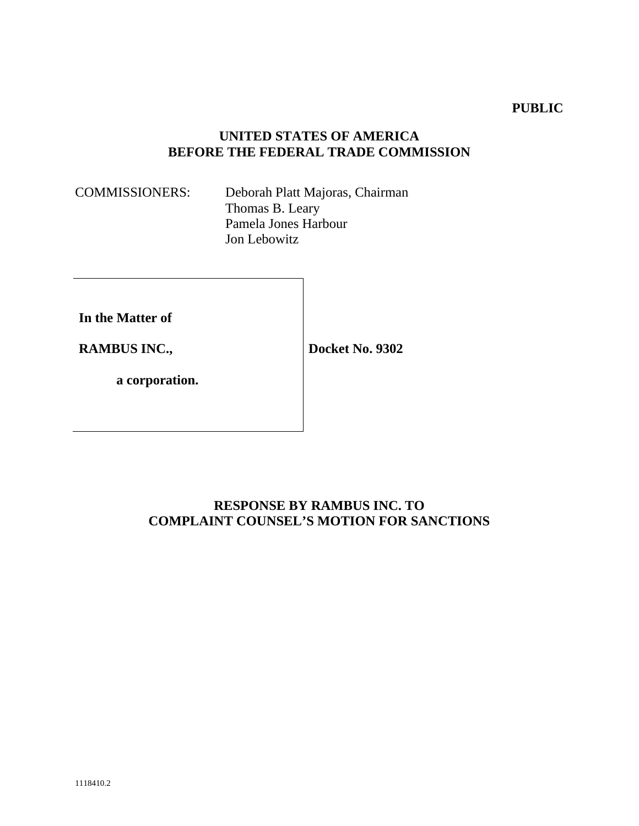### **PUBLIC**

## **UNITED STATES OF AMERICA BEFORE THE FEDERAL TRADE COMMISSION**

COMMISSIONERS: Deborah Platt Majoras, Chairman Thomas B. Leary Pamela Jones Harbour Jon Lebowitz

**In the Matter of** 

**RAMBUS INC.,** 

**Docket No. 9302** 

**a corporation.** 

## **RESPONSE BY RAMBUS INC. TO COMPLAINT COUNSEL'S MOTION FOR SANCTIONS**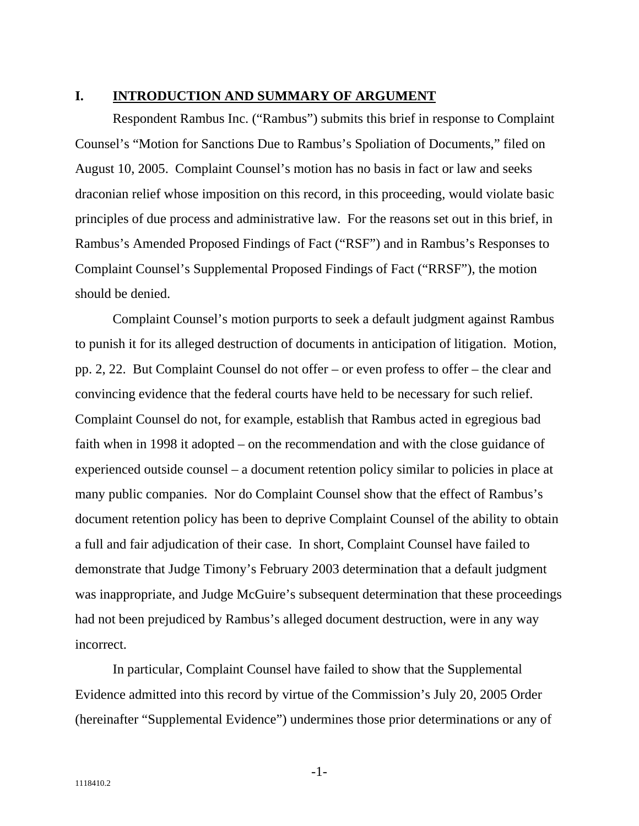### **I. INTRODUCTION AND SUMMARY OF ARGUMENT**

Respondent Rambus Inc. ("Rambus") submits this brief in response to Complaint Counsel's "Motion for Sanctions Due to Rambus's Spoliation of Documents," filed on August 10, 2005. Complaint Counsel's motion has no basis in fact or law and seeks draconian relief whose imposition on this record, in this proceeding, would violate basic principles of due process and administrative law. For the reasons set out in this brief, in Rambus's Amended Proposed Findings of Fact ("RSF") and in Rambus's Responses to Complaint Counsel's Supplemental Proposed Findings of Fact ("RRSF"), the motion should be denied.

Complaint Counsel's motion purports to seek a default judgment against Rambus to punish it for its alleged destruction of documents in anticipation of litigation. Motion, pp. 2, 22. But Complaint Counsel do not offer – or even profess to offer – the clear and convincing evidence that the federal courts have held to be necessary for such relief. Complaint Counsel do not, for example, establish that Rambus acted in egregious bad faith when in 1998 it adopted – on the recommendation and with the close guidance of experienced outside counsel – a document retention policy similar to policies in place at many public companies. Nor do Complaint Counsel show that the effect of Rambus's document retention policy has been to deprive Complaint Counsel of the ability to obtain a full and fair adjudication of their case. In short, Complaint Counsel have failed to demonstrate that Judge Timony's February 2003 determination that a default judgment was inappropriate, and Judge McGuire's subsequent determination that these proceedings had not been prejudiced by Rambus's alleged document destruction, were in any way incorrect.

In particular, Complaint Counsel have failed to show that the Supplemental Evidence admitted into this record by virtue of the Commission's July 20, 2005 Order (hereinafter "Supplemental Evidence") undermines those prior determinations or any of

-1-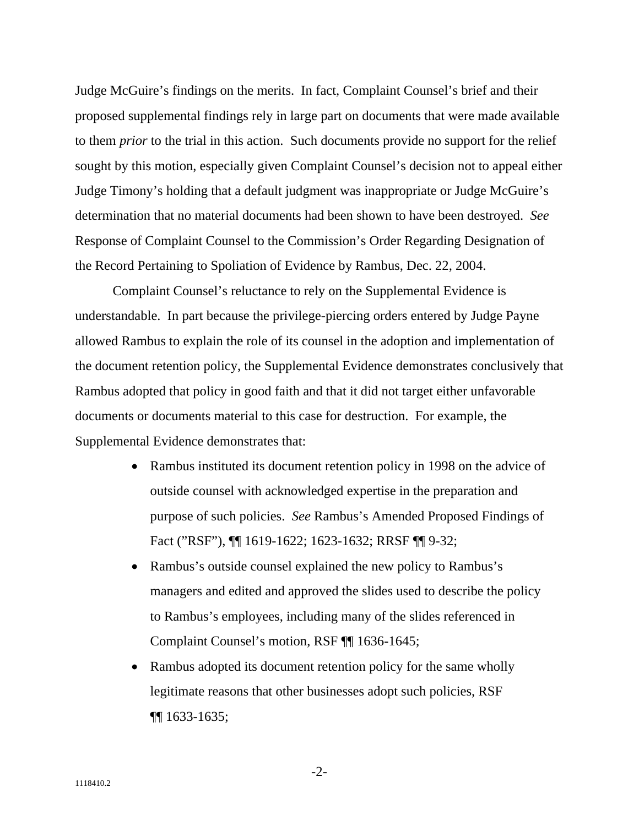Judge McGuire's findings on the merits. In fact, Complaint Counsel's brief and their proposed supplemental findings rely in large part on documents that were made available to them *prior* to the trial in this action. Such documents provide no support for the relief sought by this motion, especially given Complaint Counsel's decision not to appeal either Judge Timony's holding that a default judgment was inappropriate or Judge McGuire's determination that no material documents had been shown to have been destroyed. *See* Response of Complaint Counsel to the Commission's Order Regarding Designation of the Record Pertaining to Spoliation of Evidence by Rambus, Dec. 22, 2004.

Complaint Counsel's reluctance to rely on the Supplemental Evidence is understandable. In part because the privilege-piercing orders entered by Judge Payne allowed Rambus to explain the role of its counsel in the adoption and implementation of the document retention policy, the Supplemental Evidence demonstrates conclusively that Rambus adopted that policy in good faith and that it did not target either unfavorable documents or documents material to this case for destruction. For example, the Supplemental Evidence demonstrates that:

- Rambus instituted its document retention policy in 1998 on the advice of outside counsel with acknowledged expertise in the preparation and purpose of such policies. *See* Rambus's Amended Proposed Findings of Fact ("RSF"), ¶¶ 1619-1622; 1623-1632; RRSF ¶¶ 9-32;
- Rambus's outside counsel explained the new policy to Rambus's managers and edited and approved the slides used to describe the policy to Rambus's employees, including many of the slides referenced in Complaint Counsel's motion, RSF ¶¶ 1636-1645;
- Rambus adopted its document retention policy for the same wholly legitimate reasons that other businesses adopt such policies, RSF ¶¶ 1633-1635;

-2-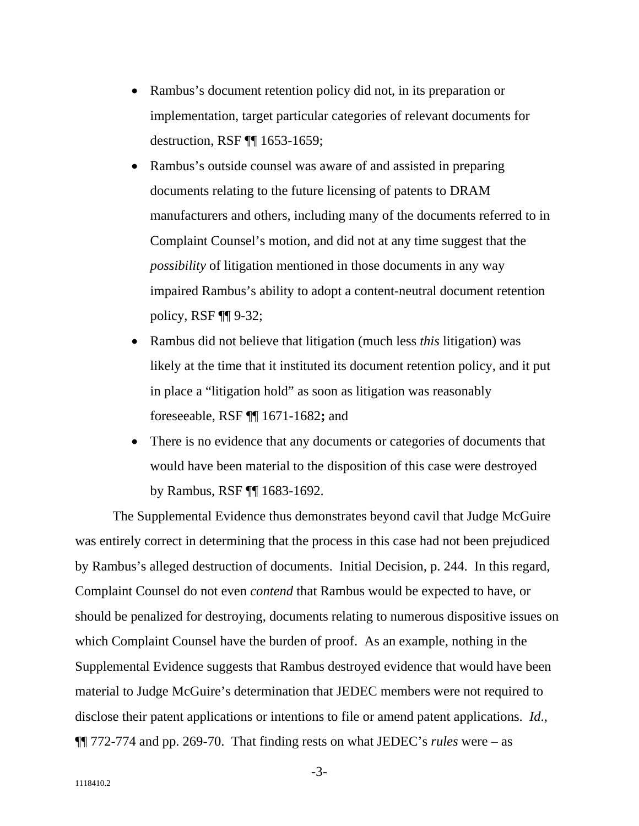- Rambus's document retention policy did not, in its preparation or implementation, target particular categories of relevant documents for destruction, RSF ¶¶ 1653-1659;
- Rambus's outside counsel was aware of and assisted in preparing documents relating to the future licensing of patents to DRAM manufacturers and others, including many of the documents referred to in Complaint Counsel's motion, and did not at any time suggest that the *possibility* of litigation mentioned in those documents in any way impaired Rambus's ability to adopt a content-neutral document retention policy, RSF ¶¶ 9-32;
- Rambus did not believe that litigation (much less *this* litigation) was likely at the time that it instituted its document retention policy, and it put in place a "litigation hold" as soon as litigation was reasonably foreseeable, RSF ¶¶ 1671-1682**;** and
- There is no evidence that any documents or categories of documents that would have been material to the disposition of this case were destroyed by Rambus, RSF ¶¶ 1683-1692.

The Supplemental Evidence thus demonstrates beyond cavil that Judge McGuire was entirely correct in determining that the process in this case had not been prejudiced by Rambus's alleged destruction of documents. Initial Decision, p. 244. In this regard, Complaint Counsel do not even *contend* that Rambus would be expected to have, or should be penalized for destroying, documents relating to numerous dispositive issues on which Complaint Counsel have the burden of proof. As an example, nothing in the Supplemental Evidence suggests that Rambus destroyed evidence that would have been material to Judge McGuire's determination that JEDEC members were not required to disclose their patent applications or intentions to file or amend patent applications. *Id*., ¶¶ 772-774 and pp. 269-70. That finding rests on what JEDEC's *rules* were – as

-3-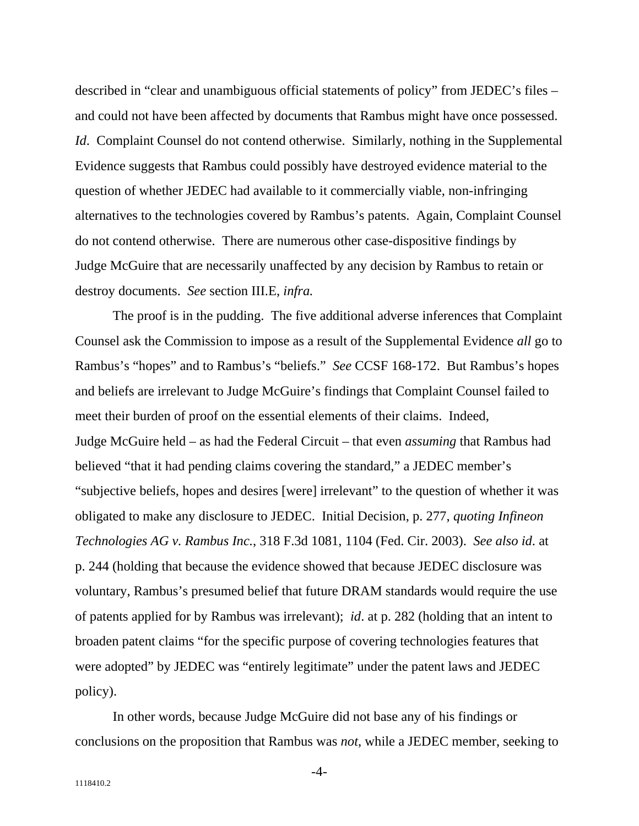described in "clear and unambiguous official statements of policy" from JEDEC's files – and could not have been affected by documents that Rambus might have once possessed. *Id.* Complaint Counsel do not contend otherwise. Similarly, nothing in the Supplemental Evidence suggests that Rambus could possibly have destroyed evidence material to the question of whether JEDEC had available to it commercially viable, non-infringing alternatives to the technologies covered by Rambus's patents. Again, Complaint Counsel do not contend otherwise. There are numerous other case-dispositive findings by Judge McGuire that are necessarily unaffected by any decision by Rambus to retain or destroy documents. *See* section III.E, *infra.* 

The proof is in the pudding. The five additional adverse inferences that Complaint Counsel ask the Commission to impose as a result of the Supplemental Evidence *all* go to Rambus's "hopes" and to Rambus's "beliefs." *See* CCSF 168-172. But Rambus's hopes and beliefs are irrelevant to Judge McGuire's findings that Complaint Counsel failed to meet their burden of proof on the essential elements of their claims. Indeed, Judge McGuire held – as had the Federal Circuit – that even *assuming* that Rambus had believed "that it had pending claims covering the standard," a JEDEC member's "subjective beliefs, hopes and desires [were] irrelevant" to the question of whether it was obligated to make any disclosure to JEDEC. Initial Decision, p. 277, *quoting Infineon Technologies AG v. Rambus Inc.*, 318 F.3d 1081, 1104 (Fed. Cir. 2003). *See also id*. at p. 244 (holding that because the evidence showed that because JEDEC disclosure was voluntary, Rambus's presumed belief that future DRAM standards would require the use of patents applied for by Rambus was irrelevant); *id*. at p. 282 (holding that an intent to broaden patent claims "for the specific purpose of covering technologies features that were adopted" by JEDEC was "entirely legitimate" under the patent laws and JEDEC policy).

In other words, because Judge McGuire did not base any of his findings or conclusions on the proposition that Rambus was *not*, while a JEDEC member, seeking to

-4-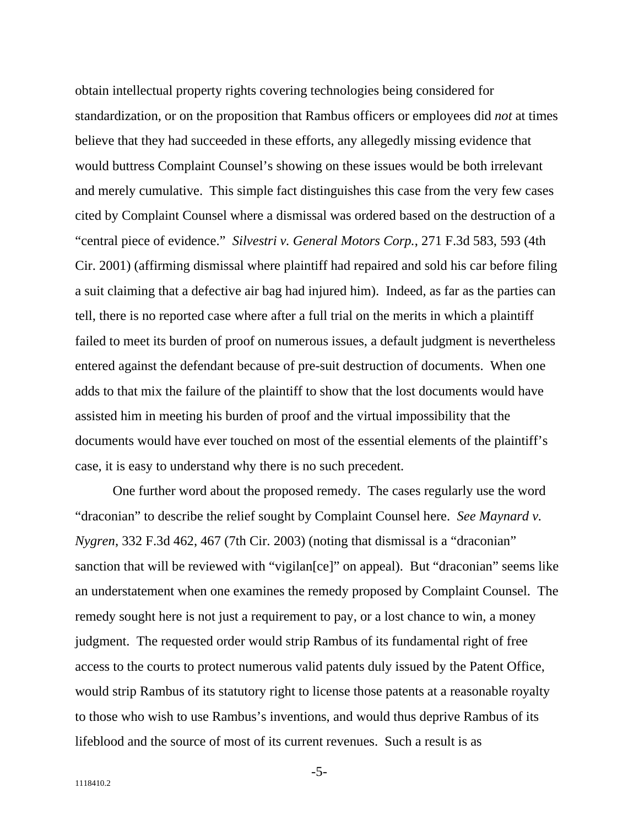obtain intellectual property rights covering technologies being considered for standardization, or on the proposition that Rambus officers or employees did *not* at times believe that they had succeeded in these efforts, any allegedly missing evidence that would buttress Complaint Counsel's showing on these issues would be both irrelevant and merely cumulative. This simple fact distinguishes this case from the very few cases cited by Complaint Counsel where a dismissal was ordered based on the destruction of a "central piece of evidence." *Silvestri v. General Motors Corp.*, 271 F.3d 583, 593 (4th Cir. 2001) (affirming dismissal where plaintiff had repaired and sold his car before filing a suit claiming that a defective air bag had injured him). Indeed, as far as the parties can tell, there is no reported case where after a full trial on the merits in which a plaintiff failed to meet its burden of proof on numerous issues, a default judgment is nevertheless entered against the defendant because of pre-suit destruction of documents. When one adds to that mix the failure of the plaintiff to show that the lost documents would have assisted him in meeting his burden of proof and the virtual impossibility that the documents would have ever touched on most of the essential elements of the plaintiff's case, it is easy to understand why there is no such precedent.

One further word about the proposed remedy. The cases regularly use the word "draconian" to describe the relief sought by Complaint Counsel here. *See Maynard v. Nygren*, 332 F.3d 462, 467 (7th Cir. 2003) (noting that dismissal is a "draconian" sanction that will be reviewed with "vigilan[ce]" on appeal). But "draconian" seems like an understatement when one examines the remedy proposed by Complaint Counsel. The remedy sought here is not just a requirement to pay, or a lost chance to win, a money judgment. The requested order would strip Rambus of its fundamental right of free access to the courts to protect numerous valid patents duly issued by the Patent Office, would strip Rambus of its statutory right to license those patents at a reasonable royalty to those who wish to use Rambus's inventions, and would thus deprive Rambus of its lifeblood and the source of most of its current revenues. Such a result is as

-5-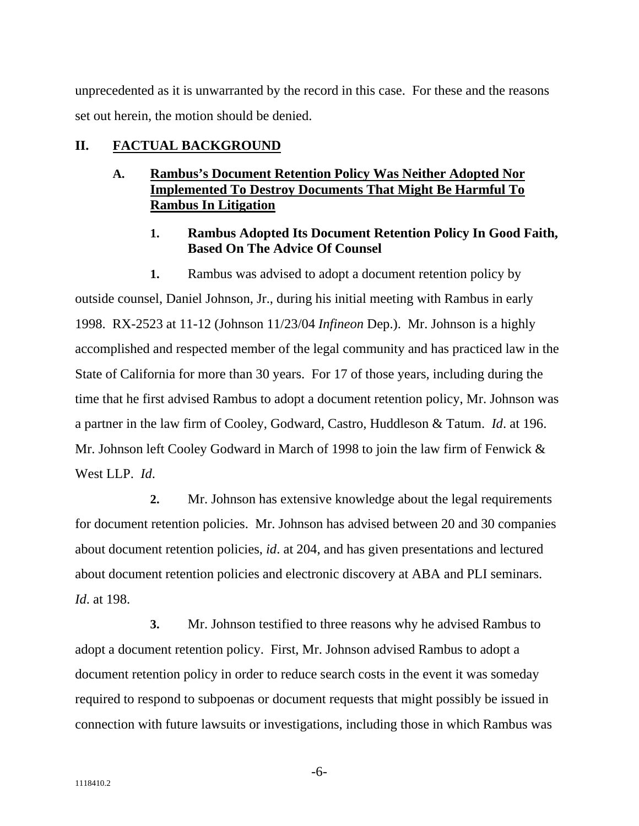unprecedented as it is unwarranted by the record in this case. For these and the reasons set out herein, the motion should be denied.

### **II. FACTUAL BACKGROUND**

#### **Rambus's Document Retention Policy Was Neither Adopted Nor Implemented To Destroy Documents That Might Be Harmful To Rambus In Litigation A.**

#### **Rambus Adopted Its Document Retention Policy In Good Faith, Based On The Advice Of Counsel 1.**

**1.** Rambus was advised to adopt a document retention policy by outside counsel, Daniel Johnson, Jr., during his initial meeting with Rambus in early 1998. RX-2523 at 11-12 (Johnson 11/23/04 *Infineon* Dep.). Mr. Johnson is a highly accomplished and respected member of the legal community and has practiced law in the State of California for more than 30 years. For 17 of those years, including during the time that he first advised Rambus to adopt a document retention policy, Mr. Johnson was a partner in the law firm of Cooley, Godward, Castro, Huddleson & Tatum. *Id*. at 196. Mr. Johnson left Cooley Godward in March of 1998 to join the law firm of Fenwick & West LLP. *Id*.

**2.** Mr. Johnson has extensive knowledge about the legal requirements for document retention policies. Mr. Johnson has advised between 20 and 30 companies about document retention policies, *id*. at 204, and has given presentations and lectured about document retention policies and electronic discovery at ABA and PLI seminars. *Id*. at 198.

**3.** Mr. Johnson testified to three reasons why he advised Rambus to adopt a document retention policy. First, Mr. Johnson advised Rambus to adopt a document retention policy in order to reduce search costs in the event it was someday required to respond to subpoenas or document requests that might possibly be issued in connection with future lawsuits or investigations, including those in which Rambus was

-6-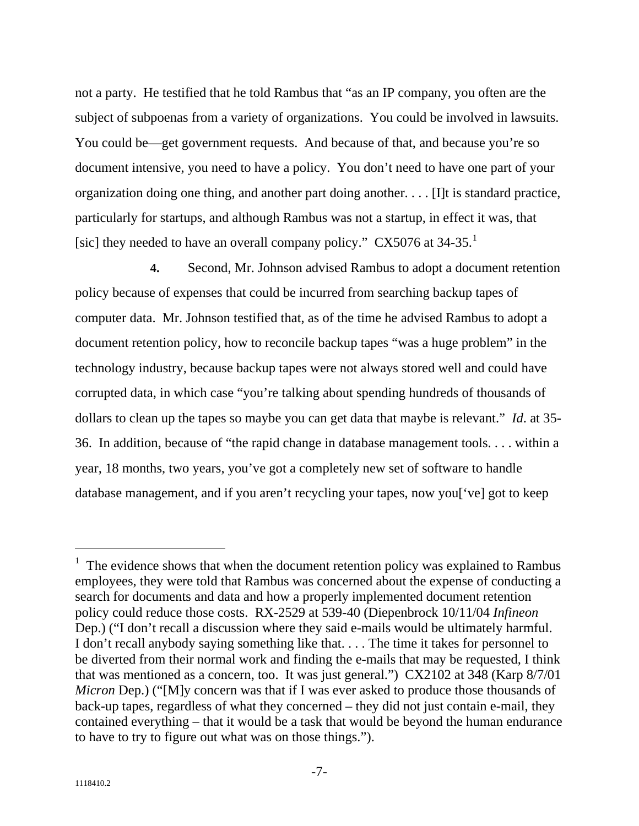not a party. He testified that he told Rambus that "as an IP company, you often are the subject of subpoenas from a variety of organizations. You could be involved in lawsuits. You could be—get government requests. And because of that, and because you're so document intensive, you need to have a policy. You don't need to have one part of your organization doing one thing, and another part doing another. . . . [I]t is standard practice, particularly for startups, and although Rambus was not a startup, in effect it was, that [sic] they needed to have an overall company policy." CX5076 at 34-35.<sup>[1](#page-7-0)</sup>

**4.** Second, Mr. Johnson advised Rambus to adopt a document retention policy because of expenses that could be incurred from searching backup tapes of computer data. Mr. Johnson testified that, as of the time he advised Rambus to adopt a document retention policy, how to reconcile backup tapes "was a huge problem" in the technology industry, because backup tapes were not always stored well and could have corrupted data, in which case "you're talking about spending hundreds of thousands of dollars to clean up the tapes so maybe you can get data that maybe is relevant." *Id*. at 35- 36. In addition, because of "the rapid change in database management tools. . . . within a year, 18 months, two years, you've got a completely new set of software to handle database management, and if you aren't recycling your tapes, now you['ve] got to keep

 $\overline{a}$ 

<span id="page-7-0"></span> $<sup>1</sup>$  The evidence shows that when the document retention policy was explained to Rambus</sup> employees, they were told that Rambus was concerned about the expense of conducting a search for documents and data and how a properly implemented document retention policy could reduce those costs. RX-2529 at 539-40 (Diepenbrock 10/11/04 *Infineon* Dep.) ("I don't recall a discussion where they said e-mails would be ultimately harmful. I don't recall anybody saying something like that. . . . The time it takes for personnel to be diverted from their normal work and finding the e-mails that may be requested, I think that was mentioned as a concern, too. It was just general.") CX2102 at 348 (Karp 8/7/01 *Micron* Dep.) ("[M]y concern was that if I was ever asked to produce those thousands of back-up tapes, regardless of what they concerned – they did not just contain e-mail, they contained everything – that it would be a task that would be beyond the human endurance to have to try to figure out what was on those things.").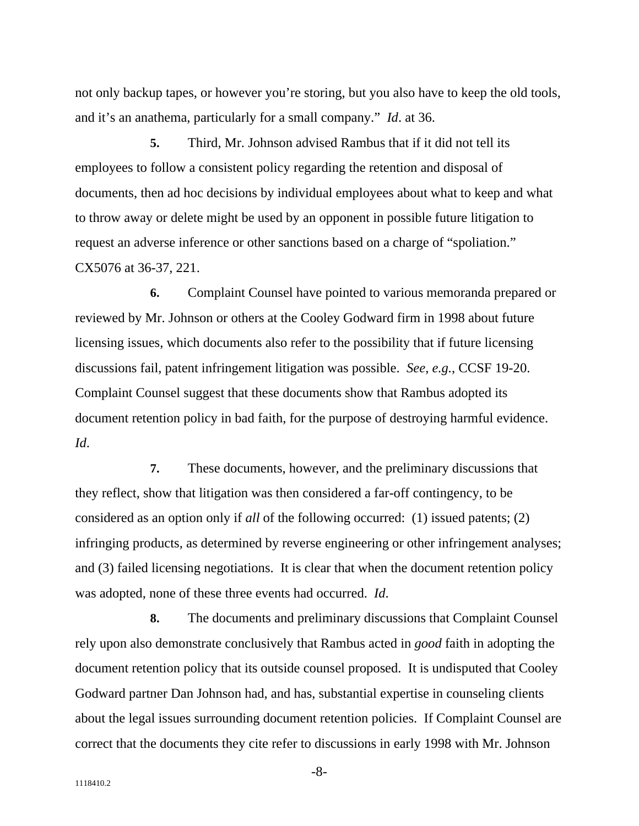not only backup tapes, or however you're storing, but you also have to keep the old tools, and it's an anathema, particularly for a small company." *Id*. at 36.

**5.** Third, Mr. Johnson advised Rambus that if it did not tell its employees to follow a consistent policy regarding the retention and disposal of documents, then ad hoc decisions by individual employees about what to keep and what to throw away or delete might be used by an opponent in possible future litigation to request an adverse inference or other sanctions based on a charge of "spoliation." CX5076 at 36-37, 221.

**6.** Complaint Counsel have pointed to various memoranda prepared or reviewed by Mr. Johnson or others at the Cooley Godward firm in 1998 about future licensing issues, which documents also refer to the possibility that if future licensing discussions fail, patent infringement litigation was possible. *See*, *e.g.*, CCSF 19-20. Complaint Counsel suggest that these documents show that Rambus adopted its document retention policy in bad faith, for the purpose of destroying harmful evidence. *Id*.

**7.** These documents, however, and the preliminary discussions that they reflect, show that litigation was then considered a far-off contingency, to be considered as an option only if *all* of the following occurred: (1) issued patents; (2) infringing products, as determined by reverse engineering or other infringement analyses; and (3) failed licensing negotiations. It is clear that when the document retention policy was adopted, none of these three events had occurred. *Id*.

**8.** The documents and preliminary discussions that Complaint Counsel rely upon also demonstrate conclusively that Rambus acted in *good* faith in adopting the document retention policy that its outside counsel proposed. It is undisputed that Cooley Godward partner Dan Johnson had, and has, substantial expertise in counseling clients about the legal issues surrounding document retention policies. If Complaint Counsel are correct that the documents they cite refer to discussions in early 1998 with Mr. Johnson

-8-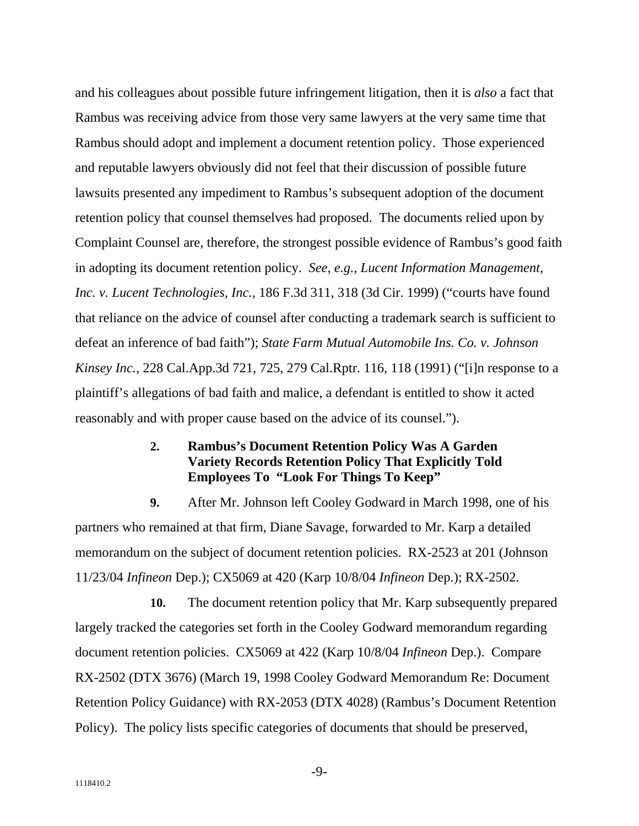and his colleagues about possible future infringement litigation, then it is *also* a fact that Rambus was receiving advice from those very same lawyers at the very same time that Rambus should adopt and implement a document retention policy. Those experienced and reputable lawyers obviously did not feel that their discussion of possible future lawsuits presented any impediment to Rambus's subsequent adoption of the document retention policy that counsel themselves had proposed. The documents relied upon by Complaint Counsel are, therefore, the strongest possible evidence of Rambus's good faith in adopting its document retention policy. *See, e.g.*, *Lucent Information Management, Inc. v. Lucent Technologies, Inc.*, 186 F.3d 311, 318 (3d Cir. 1999) ("courts have found that reliance on the advice of counsel after conducting a trademark search is sufficient to defeat an inference of bad faith"); *State Farm Mutual Automobile Ins. Co. v. Johnson Kinsey Inc.*, 228 Cal.App.3d 721, 725, 279 Cal.Rptr. 116, 118 (1991) ("[i]n response to a plaintiff's allegations of bad faith and malice, a defendant is entitled to show it acted reasonably and with proper cause based on the advice of its counsel.").

#### **Rambus's Document Retention Policy Was A Garden Variety Records Retention Policy That Explicitly Told Employees To "Look For Things To Keep" 2.**

**9.** After Mr. Johnson left Cooley Godward in March 1998, one of his partners who remained at that firm, Diane Savage, forwarded to Mr. Karp a detailed memorandum on the subject of document retention policies. RX-2523 at 201 (Johnson 11/23/04 *Infineon* Dep.); CX5069 at 420 (Karp 10/8/04 *Infineon* Dep.); RX-2502.

**10.** The document retention policy that Mr. Karp subsequently prepared largely tracked the categories set forth in the Cooley Godward memorandum regarding document retention policies. CX5069 at 422 (Karp 10/8/04 *Infineon* Dep.). Compare RX-2502 (DTX 3676) (March 19, 1998 Cooley Godward Memorandum Re: Document Retention Policy Guidance) with RX-2053 (DTX 4028) (Rambus's Document Retention Policy). The policy lists specific categories of documents that should be preserved,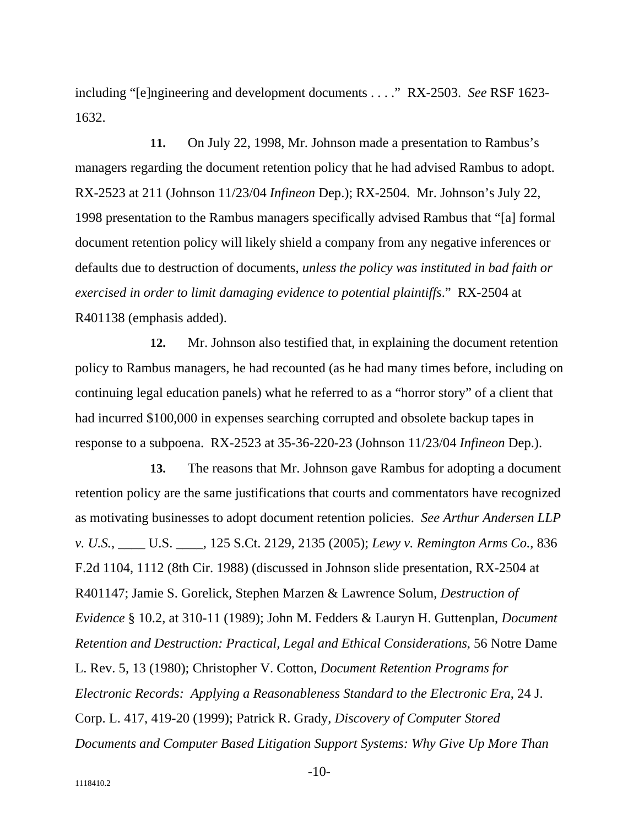including "[e]ngineering and development documents . . . ." RX-2503. *See* RSF 1623- 1632.

**11.** On July 22, 1998, Mr. Johnson made a presentation to Rambus's managers regarding the document retention policy that he had advised Rambus to adopt. RX-2523 at 211 (Johnson 11/23/04 *Infineon* Dep.); RX-2504. Mr. Johnson's July 22, 1998 presentation to the Rambus managers specifically advised Rambus that "[a] formal document retention policy will likely shield a company from any negative inferences or defaults due to destruction of documents, *unless the policy was instituted in bad faith or exercised in order to limit damaging evidence to potential plaintiffs*." RX-2504 at R401138 (emphasis added).

**12.** Mr. Johnson also testified that, in explaining the document retention policy to Rambus managers, he had recounted (as he had many times before, including on continuing legal education panels) what he referred to as a "horror story" of a client that had incurred \$100,000 in expenses searching corrupted and obsolete backup tapes in response to a subpoena. RX-2523 at 35-36-220-23 (Johnson 11/23/04 *Infineon* Dep.).

**13.** The reasons that Mr. Johnson gave Rambus for adopting a document retention policy are the same justifications that courts and commentators have recognized as motivating businesses to adopt document retention policies. *See Arthur Andersen LLP v. U.S.*, \_\_\_\_ U.S. \_\_\_\_, 125 S.Ct. 2129, 2135 (2005); *Lewy v. Remington Arms Co.*, 836 F.2d 1104, 1112 (8th Cir. 1988) (discussed in Johnson slide presentation, RX-2504 at R401147; Jamie S. Gorelick, Stephen Marzen & Lawrence Solum, *Destruction of Evidence* § 10.2, at 310-11 (1989); John M. Fedders & Lauryn H. Guttenplan, *Document Retention and Destruction: Practical, Legal and Ethical Considerations*, 56 Notre Dame L. Rev. 5, 13 (1980); Christopher V. Cotton, *Document Retention Programs for Electronic Records: Applying a Reasonableness Standard to the Electronic Era*, 24 J. Corp. L. 417, 419-20 (1999); Patrick R. Grady, *Discovery of Computer Stored Documents and Computer Based Litigation Support Systems: Why Give Up More Than* 

-10-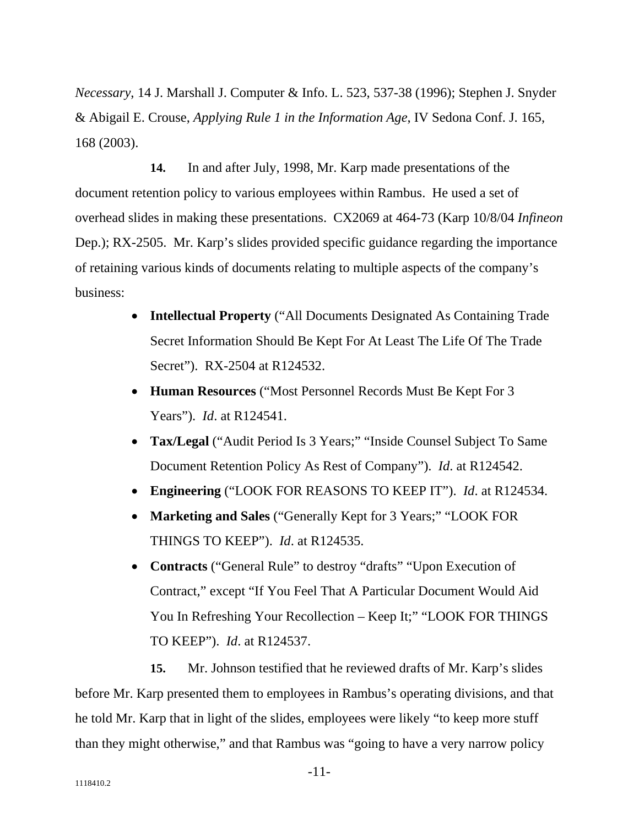*Necessary*, 14 J. Marshall J. Computer & Info. L. 523, 537-38 (1996); Stephen J. Snyder & Abigail E. Crouse, *Applying Rule 1 in the Information Age*, IV Sedona Conf. J. 165, 168 (2003).

**14.** In and after July, 1998, Mr. Karp made presentations of the document retention policy to various employees within Rambus. He used a set of overhead slides in making these presentations. CX2069 at 464-73 (Karp 10/8/04 *Infineon* Dep.); RX-2505. Mr. Karp's slides provided specific guidance regarding the importance of retaining various kinds of documents relating to multiple aspects of the company's business:

- **Intellectual Property** ("All Documents Designated As Containing Trade Secret Information Should Be Kept For At Least The Life Of The Trade Secret"). RX-2504 at R124532.
- **Human Resources** ("Most Personnel Records Must Be Kept For 3 Years"). *Id*. at R124541.
- **Tax/Legal** ("Audit Period Is 3 Years;" "Inside Counsel Subject To Same Document Retention Policy As Rest of Company"). *Id*. at R124542.
- **Engineering** ("LOOK FOR REASONS TO KEEP IT"). *Id*. at R124534.
- **Marketing and Sales** ("Generally Kept for 3 Years;" "LOOK FOR THINGS TO KEEP"). *Id*. at R124535.
- **Contracts** ("General Rule" to destroy "drafts" "Upon Execution of Contract," except "If You Feel That A Particular Document Would Aid You In Refreshing Your Recollection – Keep It;" "LOOK FOR THINGS TO KEEP"). *Id*. at R124537.

**15.** Mr. Johnson testified that he reviewed drafts of Mr. Karp's slides before Mr. Karp presented them to employees in Rambus's operating divisions, and that he told Mr. Karp that in light of the slides, employees were likely "to keep more stuff than they might otherwise," and that Rambus was "going to have a very narrow policy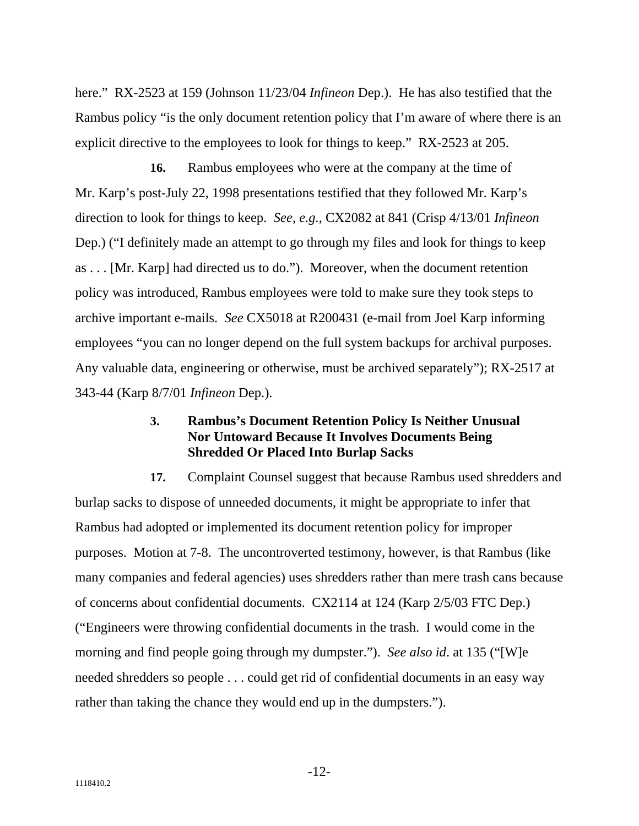here." RX-2523 at 159 (Johnson 11/23/04 *Infineon* Dep.). He has also testified that the Rambus policy "is the only document retention policy that I'm aware of where there is an explicit directive to the employees to look for things to keep." RX-2523 at 205.

**16.** Rambus employees who were at the company at the time of Mr. Karp's post-July 22, 1998 presentations testified that they followed Mr. Karp's direction to look for things to keep. *See*, *e.g.*, CX2082 at 841 (Crisp 4/13/01 *Infineon* Dep.) ("I definitely made an attempt to go through my files and look for things to keep as . . . [Mr. Karp] had directed us to do."). Moreover, when the document retention policy was introduced, Rambus employees were told to make sure they took steps to archive important e-mails. *See* CX5018 at R200431 (e-mail from Joel Karp informing employees "you can no longer depend on the full system backups for archival purposes. Any valuable data, engineering or otherwise, must be archived separately"); RX-2517 at 343-44 (Karp 8/7/01 *Infineon* Dep.).

#### **3. Rambus's Document Retention Policy Is Neither Unusual Nor Untoward Because It Involves Documents Being Shredded Or Placed Into Burlap Sacks**

**17.** Complaint Counsel suggest that because Rambus used shredders and burlap sacks to dispose of unneeded documents, it might be appropriate to infer that Rambus had adopted or implemented its document retention policy for improper purposes. Motion at 7-8. The uncontroverted testimony, however, is that Rambus (like many companies and federal agencies) uses shredders rather than mere trash cans because of concerns about confidential documents. CX2114 at 124 (Karp 2/5/03 FTC Dep.) ("Engineers were throwing confidential documents in the trash. I would come in the morning and find people going through my dumpster."). *See also id*. at 135 ("[W]e needed shredders so people . . . could get rid of confidential documents in an easy way rather than taking the chance they would end up in the dumpsters.").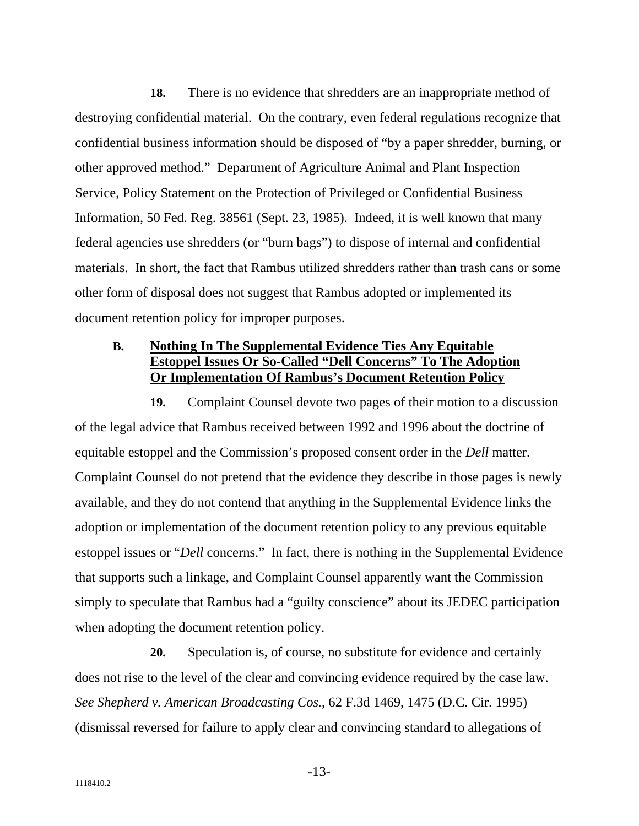**18.** There is no evidence that shredders are an inappropriate method of destroying confidential material. On the contrary, even federal regulations recognize that confidential business information should be disposed of "by a paper shredder, burning, or other approved method." Department of Agriculture Animal and Plant Inspection Service, Policy Statement on the Protection of Privileged or Confidential Business Information, 50 Fed. Reg. 38561 (Sept. 23, 1985). Indeed, it is well known that many federal agencies use shredders (or "burn bags") to dispose of internal and confidential materials. In short, the fact that Rambus utilized shredders rather than trash cans or some other form of disposal does not suggest that Rambus adopted or implemented its document retention policy for improper purposes.

#### **B. Nothing In The Supplemental Evidence Ties Any Equitable Estoppel Issues Or So-Called "Dell Concerns" To The Adoption Or Implementation Of Rambus's Document Retention Policy**

**19.** Complaint Counsel devote two pages of their motion to a discussion of the legal advice that Rambus received between 1992 and 1996 about the doctrine of equitable estoppel and the Commission's proposed consent order in the *Dell* matter. Complaint Counsel do not pretend that the evidence they describe in those pages is newly available, and they do not contend that anything in the Supplemental Evidence links the adoption or implementation of the document retention policy to any previous equitable estoppel issues or "*Dell* concerns." In fact, there is nothing in the Supplemental Evidence that supports such a linkage, and Complaint Counsel apparently want the Commission simply to speculate that Rambus had a "guilty conscience" about its JEDEC participation when adopting the document retention policy.

**20.** Speculation is, of course, no substitute for evidence and certainly does not rise to the level of the clear and convincing evidence required by the case law. *See Shepherd v. American Broadcasting Cos.*, 62 F.3d 1469, 1475 (D.C. Cir. 1995) (dismissal reversed for failure to apply clear and convincing standard to allegations of

-13-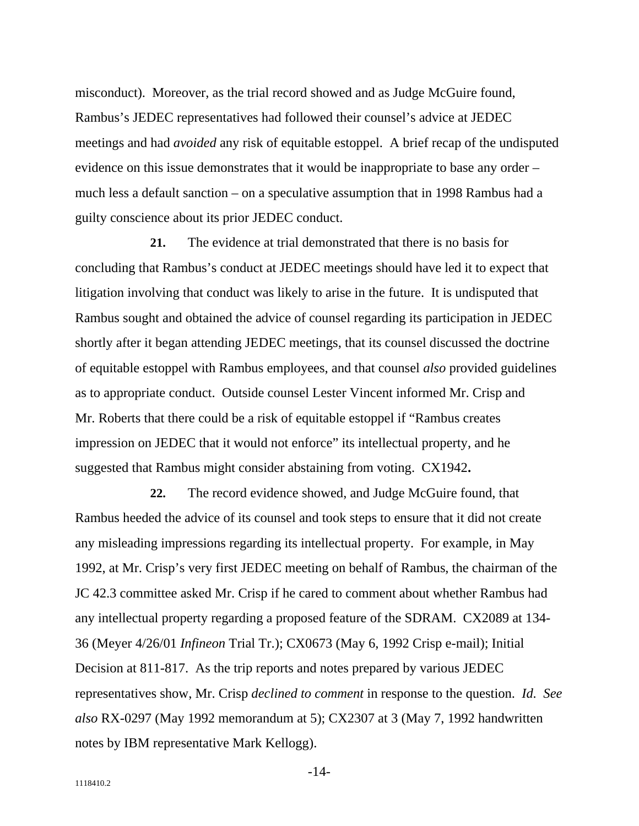misconduct). Moreover, as the trial record showed and as Judge McGuire found, Rambus's JEDEC representatives had followed their counsel's advice at JEDEC meetings and had *avoided* any risk of equitable estoppel. A brief recap of the undisputed evidence on this issue demonstrates that it would be inappropriate to base any order – much less a default sanction – on a speculative assumption that in 1998 Rambus had a guilty conscience about its prior JEDEC conduct.

**21.** The evidence at trial demonstrated that there is no basis for concluding that Rambus's conduct at JEDEC meetings should have led it to expect that litigation involving that conduct was likely to arise in the future. It is undisputed that Rambus sought and obtained the advice of counsel regarding its participation in JEDEC shortly after it began attending JEDEC meetings, that its counsel discussed the doctrine of equitable estoppel with Rambus employees, and that counsel *also* provided guidelines as to appropriate conduct. Outside counsel Lester Vincent informed Mr. Crisp and Mr. Roberts that there could be a risk of equitable estoppel if "Rambus creates impression on JEDEC that it would not enforce" its intellectual property, and he suggested that Rambus might consider abstaining from voting. CX1942**.**

**22.** The record evidence showed, and Judge McGuire found, that Rambus heeded the advice of its counsel and took steps to ensure that it did not create any misleading impressions regarding its intellectual property. For example, in May 1992, at Mr. Crisp's very first JEDEC meeting on behalf of Rambus, the chairman of the JC 42.3 committee asked Mr. Crisp if he cared to comment about whether Rambus had any intellectual property regarding a proposed feature of the SDRAM. CX2089 at 134- 36 (Meyer 4/26/01 *Infineon* Trial Tr.); CX0673 (May 6, 1992 Crisp e-mail); Initial Decision at 811-817. As the trip reports and notes prepared by various JEDEC representatives show, Mr. Crisp *declined to comment* in response to the question. *Id. See also* RX-0297 (May 1992 memorandum at 5); CX2307 at 3 (May 7, 1992 handwritten notes by IBM representative Mark Kellogg).

-14-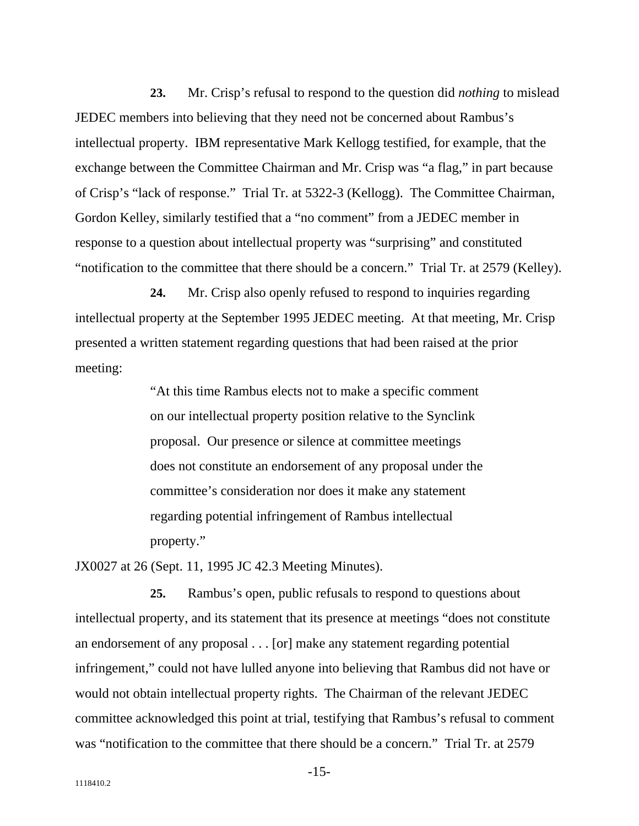**23.** Mr. Crisp's refusal to respond to the question did *nothing* to mislead JEDEC members into believing that they need not be concerned about Rambus's intellectual property. IBM representative Mark Kellogg testified, for example, that the exchange between the Committee Chairman and Mr. Crisp was "a flag," in part because of Crisp's "lack of response." Trial Tr. at 5322-3 (Kellogg). The Committee Chairman, Gordon Kelley, similarly testified that a "no comment" from a JEDEC member in response to a question about intellectual property was "surprising" and constituted "notification to the committee that there should be a concern." Trial Tr. at 2579 (Kelley).

**24.** Mr. Crisp also openly refused to respond to inquiries regarding intellectual property at the September 1995 JEDEC meeting. At that meeting, Mr. Crisp presented a written statement regarding questions that had been raised at the prior meeting:

> "At this time Rambus elects not to make a specific comment on our intellectual property position relative to the Synclink proposal. Our presence or silence at committee meetings does not constitute an endorsement of any proposal under the committee's consideration nor does it make any statement regarding potential infringement of Rambus intellectual property."

JX0027 at 26 (Sept. 11, 1995 JC 42.3 Meeting Minutes).

**25.** Rambus's open, public refusals to respond to questions about intellectual property, and its statement that its presence at meetings "does not constitute an endorsement of any proposal . . . [or] make any statement regarding potential infringement," could not have lulled anyone into believing that Rambus did not have or would not obtain intellectual property rights. The Chairman of the relevant JEDEC committee acknowledged this point at trial, testifying that Rambus's refusal to comment was "notification to the committee that there should be a concern." Trial Tr. at 2579

-15-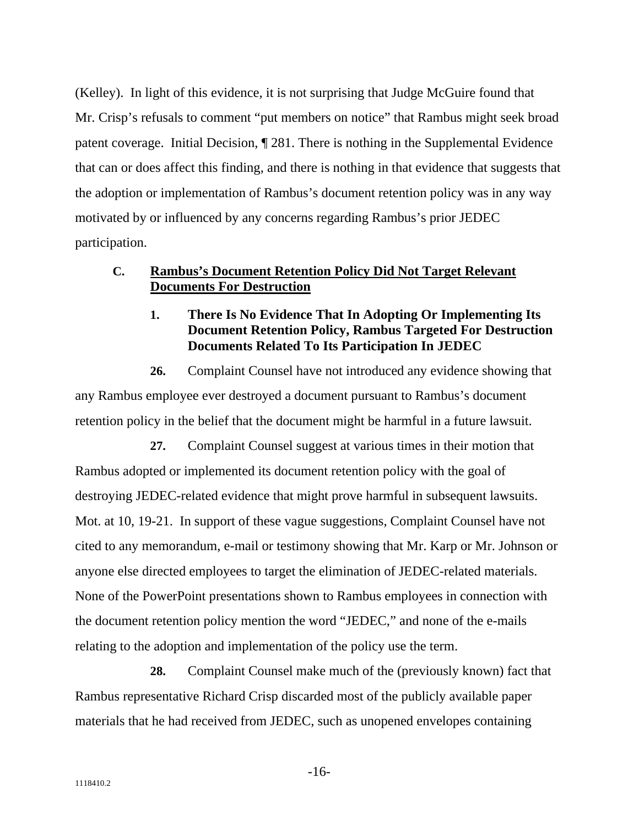(Kelley). In light of this evidence, it is not surprising that Judge McGuire found that Mr. Crisp's refusals to comment "put members on notice" that Rambus might seek broad patent coverage. Initial Decision, ¶ 281. There is nothing in the Supplemental Evidence that can or does affect this finding, and there is nothing in that evidence that suggests that the adoption or implementation of Rambus's document retention policy was in any way motivated by or influenced by any concerns regarding Rambus's prior JEDEC participation.

#### **Rambus's Document Retention Policy Did Not Target Relevant Documents For Destruction C.**

#### **There Is No Evidence That In Adopting Or Implementing Its Document Retention Policy, Rambus Targeted For Destruction Documents Related To Its Participation In JEDEC 1.**

**26.** Complaint Counsel have not introduced any evidence showing that any Rambus employee ever destroyed a document pursuant to Rambus's document retention policy in the belief that the document might be harmful in a future lawsuit.

**27.** Complaint Counsel suggest at various times in their motion that Rambus adopted or implemented its document retention policy with the goal of destroying JEDEC-related evidence that might prove harmful in subsequent lawsuits. Mot. at 10, 19-21. In support of these vague suggestions, Complaint Counsel have not cited to any memorandum, e-mail or testimony showing that Mr. Karp or Mr. Johnson or anyone else directed employees to target the elimination of JEDEC-related materials. None of the PowerPoint presentations shown to Rambus employees in connection with the document retention policy mention the word "JEDEC," and none of the e-mails relating to the adoption and implementation of the policy use the term.

**28.** Complaint Counsel make much of the (previously known) fact that Rambus representative Richard Crisp discarded most of the publicly available paper materials that he had received from JEDEC, such as unopened envelopes containing

-16-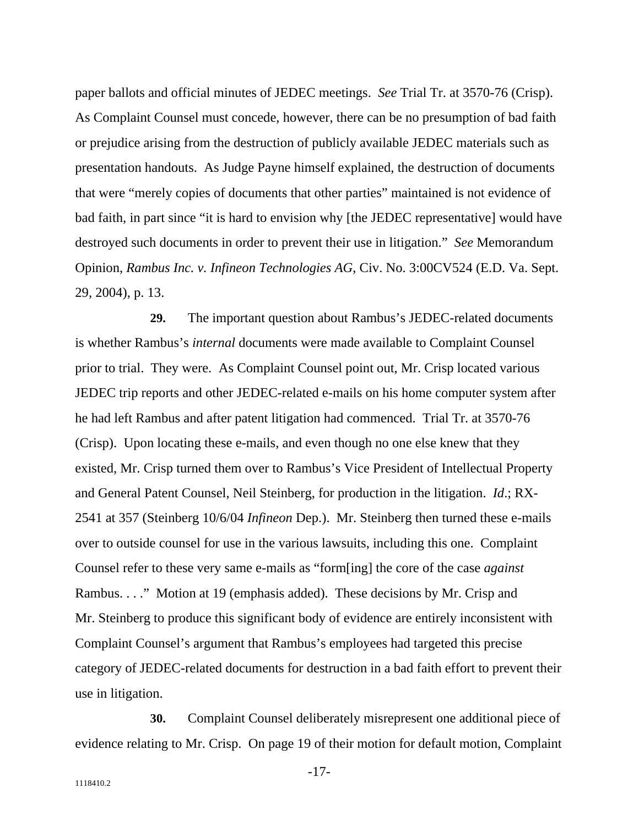paper ballots and official minutes of JEDEC meetings. *See* Trial Tr. at 3570-76 (Crisp). As Complaint Counsel must concede, however, there can be no presumption of bad faith or prejudice arising from the destruction of publicly available JEDEC materials such as presentation handouts. As Judge Payne himself explained, the destruction of documents that were "merely copies of documents that other parties" maintained is not evidence of bad faith, in part since "it is hard to envision why [the JEDEC representative] would have destroyed such documents in order to prevent their use in litigation." *See* Memorandum Opinion, *Rambus Inc. v. Infineon Technologies AG*, Civ. No. 3:00CV524 (E.D. Va. Sept. 29, 2004), p. 13.

**29.** The important question about Rambus's JEDEC-related documents is whether Rambus's *internal* documents were made available to Complaint Counsel prior to trial. They were. As Complaint Counsel point out, Mr. Crisp located various JEDEC trip reports and other JEDEC-related e-mails on his home computer system after he had left Rambus and after patent litigation had commenced. Trial Tr. at 3570-76 (Crisp). Upon locating these e-mails, and even though no one else knew that they existed, Mr. Crisp turned them over to Rambus's Vice President of Intellectual Property and General Patent Counsel, Neil Steinberg, for production in the litigation. *Id*.; RX-2541 at 357 (Steinberg 10/6/04 *Infineon* Dep.). Mr. Steinberg then turned these e-mails over to outside counsel for use in the various lawsuits, including this one. Complaint Counsel refer to these very same e-mails as "form[ing] the core of the case *against* Rambus. . . ." Motion at 19 (emphasis added). These decisions by Mr. Crisp and Mr. Steinberg to produce this significant body of evidence are entirely inconsistent with Complaint Counsel's argument that Rambus's employees had targeted this precise category of JEDEC-related documents for destruction in a bad faith effort to prevent their use in litigation.

**30.** Complaint Counsel deliberately misrepresent one additional piece of evidence relating to Mr. Crisp. On page 19 of their motion for default motion, Complaint

-17-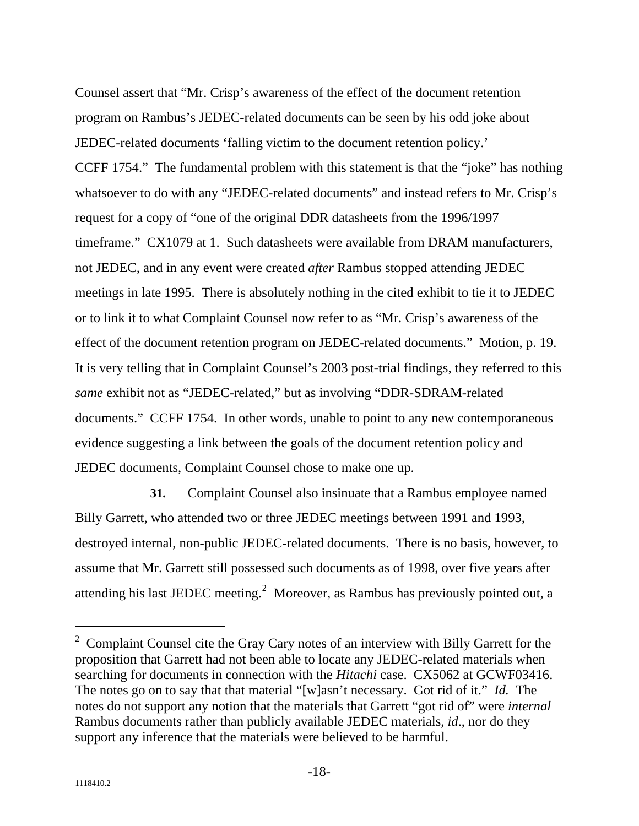Counsel assert that "Mr. Crisp's awareness of the effect of the document retention program on Rambus's JEDEC-related documents can be seen by his odd joke about JEDEC-related documents 'falling victim to the document retention policy.' CCFF 1754." The fundamental problem with this statement is that the "joke" has nothing whatsoever to do with any "JEDEC-related documents" and instead refers to Mr. Crisp's request for a copy of "one of the original DDR datasheets from the 1996/1997 timeframe." CX1079 at 1. Such datasheets were available from DRAM manufacturers, not JEDEC, and in any event were created *after* Rambus stopped attending JEDEC meetings in late 1995. There is absolutely nothing in the cited exhibit to tie it to JEDEC or to link it to what Complaint Counsel now refer to as "Mr. Crisp's awareness of the effect of the document retention program on JEDEC-related documents." Motion, p. 19. It is very telling that in Complaint Counsel's 2003 post-trial findings, they referred to this *same* exhibit not as "JEDEC-related," but as involving "DDR-SDRAM-related documents." CCFF 1754. In other words, unable to point to any new contemporaneous evidence suggesting a link between the goals of the document retention policy and JEDEC documents, Complaint Counsel chose to make one up.

**31.** Complaint Counsel also insinuate that a Rambus employee named Billy Garrett, who attended two or three JEDEC meetings between 1991 and 1993, destroyed internal, non-public JEDEC-related documents. There is no basis, however, to assume that Mr. Garrett still possessed such documents as of 1998, over five years after attending his last JEDEC meeting.<sup>[2](#page-18-0)</sup> Moreover, as Rambus has previously pointed out, a

 $\overline{a}$ 

<span id="page-18-0"></span><sup>&</sup>lt;sup>2</sup> Complaint Counsel cite the Gray Cary notes of an interview with Billy Garrett for the proposition that Garrett had not been able to locate any JEDEC-related materials when searching for documents in connection with the *Hitachi* case. CX5062 at GCWF03416. The notes go on to say that that material "[w]asn't necessary. Got rid of it." *Id.* The notes do not support any notion that the materials that Garrett "got rid of" were *internal* Rambus documents rather than publicly available JEDEC materials, *id*., nor do they support any inference that the materials were believed to be harmful.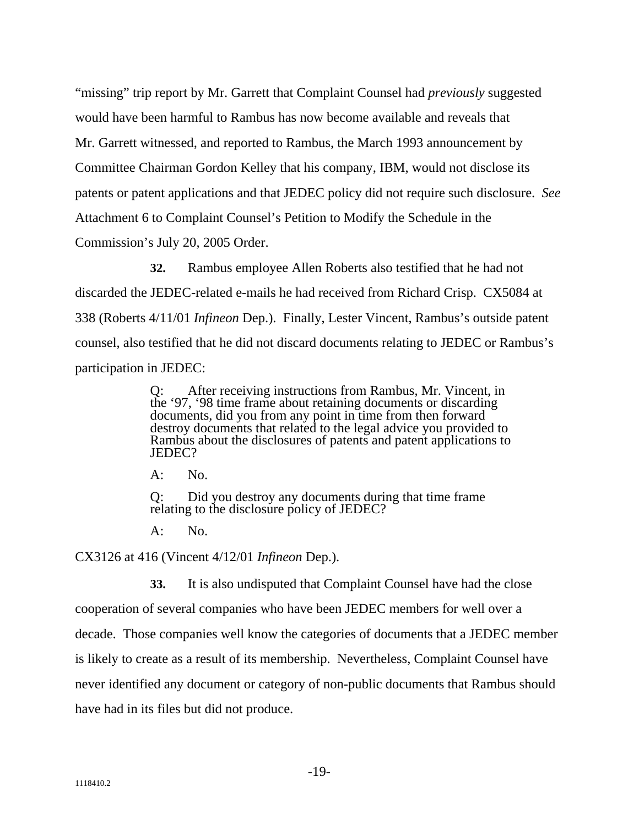"missing" trip report by Mr. Garrett that Complaint Counsel had *previously* suggested would have been harmful to Rambus has now become available and reveals that Mr. Garrett witnessed, and reported to Rambus, the March 1993 announcement by Committee Chairman Gordon Kelley that his company, IBM, would not disclose its patents or patent applications and that JEDEC policy did not require such disclosure. *See* Attachment 6 to Complaint Counsel's Petition to Modify the Schedule in the Commission's July 20, 2005 Order.

**32.** Rambus employee Allen Roberts also testified that he had not discarded the JEDEC-related e-mails he had received from Richard Crisp. CX5084 at 338 (Roberts 4/11/01 *Infineon* Dep.). Finally, Lester Vincent, Rambus's outside patent counsel, also testified that he did not discard documents relating to JEDEC or Rambus's participation in JEDEC:

> Q: After receiving instructions from Rambus, Mr. Vincent, in the '97, '98 time frame about retaining documents or discarding documents, did you from any point in time from then forward destroy documents that related to the legal advice you provided to Rambus about the disclosures of patents and patent applications to JEDEC?

A: No.

Q: Did you destroy any documents during that time frame relating to the disclosure policy of JEDEC?

 $A:$  No.

CX3126 at 416 (Vincent 4/12/01 *Infineon* Dep.).

**33.** It is also undisputed that Complaint Counsel have had the close cooperation of several companies who have been JEDEC members for well over a decade. Those companies well know the categories of documents that a JEDEC member is likely to create as a result of its membership. Nevertheless, Complaint Counsel have never identified any document or category of non-public documents that Rambus should have had in its files but did not produce.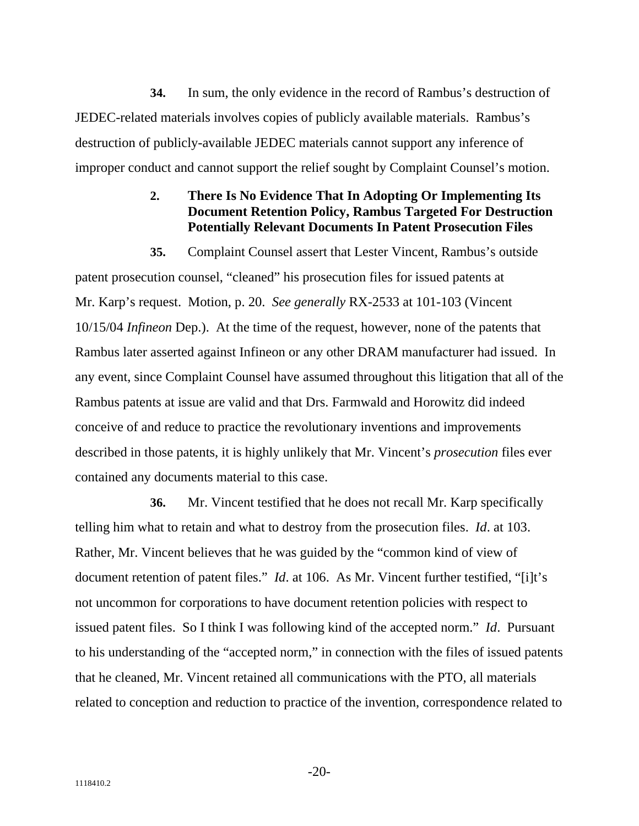**34.** In sum, the only evidence in the record of Rambus's destruction of JEDEC-related materials involves copies of publicly available materials. Rambus's destruction of publicly-available JEDEC materials cannot support any inference of improper conduct and cannot support the relief sought by Complaint Counsel's motion.

#### **2. There Is No Evidence That In Adopting Or Implementing Its Document Retention Policy, Rambus Targeted For Destruction Potentially Relevant Documents In Patent Prosecution Files**

**35.** Complaint Counsel assert that Lester Vincent, Rambus's outside patent prosecution counsel, "cleaned" his prosecution files for issued patents at Mr. Karp's request. Motion, p. 20. *See generally* RX-2533 at 101-103 (Vincent 10/15/04 *Infineon* Dep.). At the time of the request, however, none of the patents that Rambus later asserted against Infineon or any other DRAM manufacturer had issued. In any event, since Complaint Counsel have assumed throughout this litigation that all of the Rambus patents at issue are valid and that Drs. Farmwald and Horowitz did indeed conceive of and reduce to practice the revolutionary inventions and improvements described in those patents, it is highly unlikely that Mr. Vincent's *prosecution* files ever contained any documents material to this case.

**36.** Mr. Vincent testified that he does not recall Mr. Karp specifically telling him what to retain and what to destroy from the prosecution files. *Id*. at 103. Rather, Mr. Vincent believes that he was guided by the "common kind of view of document retention of patent files." *Id*. at 106. As Mr. Vincent further testified, "[i]t's not uncommon for corporations to have document retention policies with respect to issued patent files. So I think I was following kind of the accepted norm." *Id*. Pursuant to his understanding of the "accepted norm," in connection with the files of issued patents that he cleaned, Mr. Vincent retained all communications with the PTO, all materials related to conception and reduction to practice of the invention, correspondence related to

-20-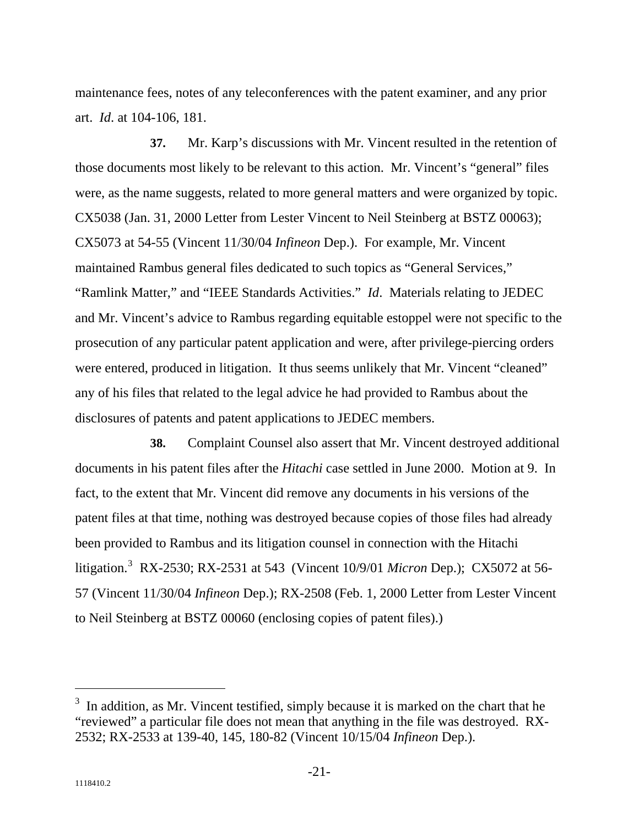maintenance fees, notes of any teleconferences with the patent examiner, and any prior art. *Id*. at 104-106, 181.

**37.** Mr. Karp's discussions with Mr. Vincent resulted in the retention of those documents most likely to be relevant to this action. Mr. Vincent's "general" files were, as the name suggests, related to more general matters and were organized by topic. CX5038 (Jan. 31, 2000 Letter from Lester Vincent to Neil Steinberg at BSTZ 00063); CX5073 at 54-55 (Vincent 11/30/04 *Infineon* Dep.). For example, Mr. Vincent maintained Rambus general files dedicated to such topics as "General Services," "Ramlink Matter," and "IEEE Standards Activities." *Id*. Materials relating to JEDEC and Mr. Vincent's advice to Rambus regarding equitable estoppel were not specific to the prosecution of any particular patent application and were, after privilege-piercing orders were entered, produced in litigation. It thus seems unlikely that Mr. Vincent "cleaned" any of his files that related to the legal advice he had provided to Rambus about the disclosures of patents and patent applications to JEDEC members.

**38.** Complaint Counsel also assert that Mr. Vincent destroyed additional documents in his patent files after the *Hitachi* case settled in June 2000. Motion at 9. In fact, to the extent that Mr. Vincent did remove any documents in his versions of the patent files at that time, nothing was destroyed because copies of those files had already been provided to Rambus and its litigation counsel in connection with the Hitachi litigation.[3](#page-21-0) RX-2530; RX-2531 at 543 (Vincent 10/9/01 *Micron* Dep.); CX5072 at 56- 57 (Vincent 11/30/04 *Infineon* Dep.); RX-2508 (Feb. 1, 2000 Letter from Lester Vincent to Neil Steinberg at BSTZ 00060 (enclosing copies of patent files).)

 $\overline{a}$ 

<span id="page-21-0"></span> $3\,$  In addition, as Mr. Vincent testified, simply because it is marked on the chart that he "reviewed" a particular file does not mean that anything in the file was destroyed. RX-2532; RX-2533 at 139-40, 145, 180-82 (Vincent 10/15/04 *Infineon* Dep.).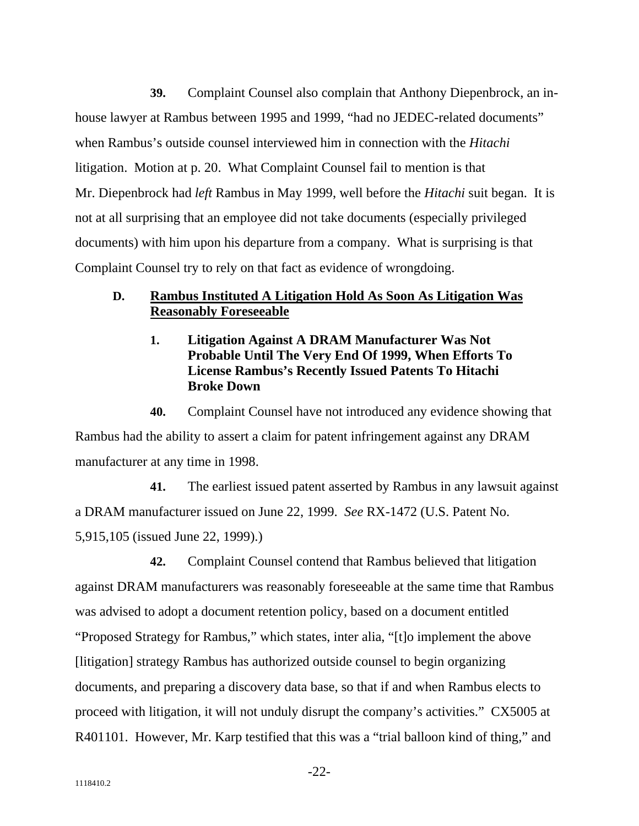**39.** Complaint Counsel also complain that Anthony Diepenbrock, an inhouse lawyer at Rambus between 1995 and 1999, "had no JEDEC-related documents" when Rambus's outside counsel interviewed him in connection with the *Hitachi* litigation. Motion at p. 20. What Complaint Counsel fail to mention is that Mr. Diepenbrock had *left* Rambus in May 1999, well before the *Hitachi* suit began. It is not at all surprising that an employee did not take documents (especially privileged documents) with him upon his departure from a company. What is surprising is that Complaint Counsel try to rely on that fact as evidence of wrongdoing.

#### **D. Rambus Instituted A Litigation Hold As Soon As Litigation Was Reasonably Foreseeable**

**Litigation Against A DRAM Manufacturer Was Not Probable Until The Very End Of 1999, When Efforts To License Rambus's Recently Issued Patents To Hitachi Broke Down 1.**

**40.** Complaint Counsel have not introduced any evidence showing that Rambus had the ability to assert a claim for patent infringement against any DRAM manufacturer at any time in 1998.

**41.** The earliest issued patent asserted by Rambus in any lawsuit against a DRAM manufacturer issued on June 22, 1999. *See* RX-1472 (U.S. Patent No. 5,915,105 (issued June 22, 1999).)

**42.** Complaint Counsel contend that Rambus believed that litigation against DRAM manufacturers was reasonably foreseeable at the same time that Rambus was advised to adopt a document retention policy, based on a document entitled "Proposed Strategy for Rambus," which states, inter alia, "[t]o implement the above [litigation] strategy Rambus has authorized outside counsel to begin organizing documents, and preparing a discovery data base, so that if and when Rambus elects to proceed with litigation, it will not unduly disrupt the company's activities." CX5005 at R401101. However, Mr. Karp testified that this was a "trial balloon kind of thing," and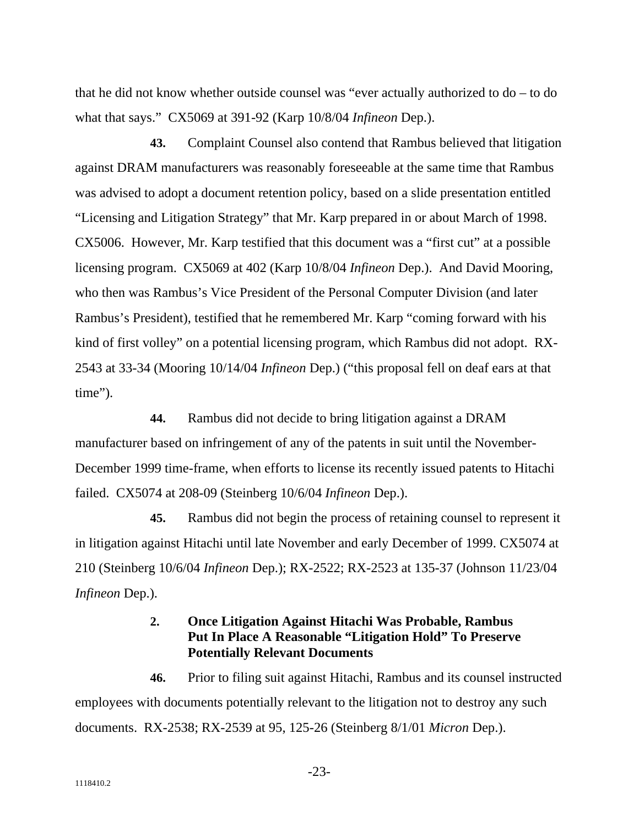that he did not know whether outside counsel was "ever actually authorized to do – to do what that says." CX5069 at 391-92 (Karp 10/8/04 *Infineon* Dep.).

**43.** Complaint Counsel also contend that Rambus believed that litigation against DRAM manufacturers was reasonably foreseeable at the same time that Rambus was advised to adopt a document retention policy, based on a slide presentation entitled "Licensing and Litigation Strategy" that Mr. Karp prepared in or about March of 1998. CX5006. However, Mr. Karp testified that this document was a "first cut" at a possible licensing program. CX5069 at 402 (Karp 10/8/04 *Infineon* Dep.). And David Mooring, who then was Rambus's Vice President of the Personal Computer Division (and later Rambus's President), testified that he remembered Mr. Karp "coming forward with his kind of first volley" on a potential licensing program, which Rambus did not adopt. RX-2543 at 33-34 (Mooring 10/14/04 *Infineon* Dep.) ("this proposal fell on deaf ears at that time").

**44.** Rambus did not decide to bring litigation against a DRAM manufacturer based on infringement of any of the patents in suit until the November-December 1999 time-frame, when efforts to license its recently issued patents to Hitachi failed. CX5074 at 208-09 (Steinberg 10/6/04 *Infineon* Dep.).

**45.** Rambus did not begin the process of retaining counsel to represent it in litigation against Hitachi until late November and early December of 1999. CX5074 at 210 (Steinberg 10/6/04 *Infineon* Dep.); RX-2522; RX-2523 at 135-37 (Johnson 11/23/04 *Infineon* Dep.).

#### **2. Once Litigation Against Hitachi Was Probable, Rambus Put In Place A Reasonable "Litigation Hold" To Preserve Potentially Relevant Documents**

**46.** Prior to filing suit against Hitachi, Rambus and its counsel instructed employees with documents potentially relevant to the litigation not to destroy any such documents. RX-2538; RX-2539 at 95, 125-26 (Steinberg 8/1/01 *Micron* Dep.).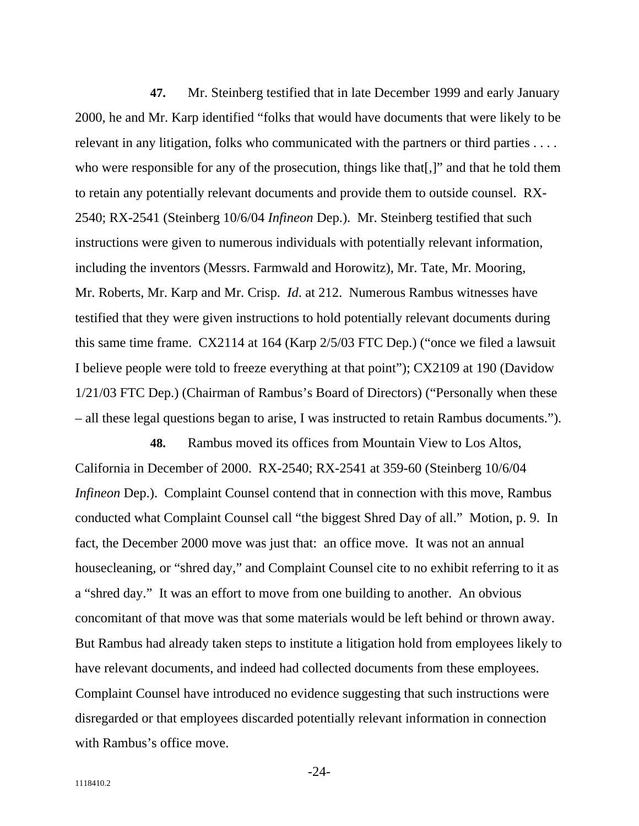**47.** Mr. Steinberg testified that in late December 1999 and early January 2000, he and Mr. Karp identified "folks that would have documents that were likely to be relevant in any litigation, folks who communicated with the partners or third parties . . . . who were responsible for any of the prosecution, things like that [,]" and that he told them to retain any potentially relevant documents and provide them to outside counsel. RX-2540; RX-2541 (Steinberg 10/6/04 *Infineon* Dep.). Mr. Steinberg testified that such instructions were given to numerous individuals with potentially relevant information, including the inventors (Messrs. Farmwald and Horowitz), Mr. Tate, Mr. Mooring, Mr. Roberts, Mr. Karp and Mr. Crisp. *Id*. at 212. Numerous Rambus witnesses have testified that they were given instructions to hold potentially relevant documents during this same time frame. CX2114 at 164 (Karp 2/5/03 FTC Dep.) ("once we filed a lawsuit I believe people were told to freeze everything at that point"); CX2109 at 190 (Davidow 1/21/03 FTC Dep.) (Chairman of Rambus's Board of Directors) ("Personally when these – all these legal questions began to arise, I was instructed to retain Rambus documents.").

**48.** Rambus moved its offices from Mountain View to Los Altos, California in December of 2000. RX-2540; RX-2541 at 359-60 (Steinberg 10/6/04 *Infineon* Dep.). Complaint Counsel contend that in connection with this move, Rambus conducted what Complaint Counsel call "the biggest Shred Day of all." Motion, p. 9. In fact, the December 2000 move was just that: an office move. It was not an annual housecleaning, or "shred day," and Complaint Counsel cite to no exhibit referring to it as a "shred day." It was an effort to move from one building to another. An obvious concomitant of that move was that some materials would be left behind or thrown away. But Rambus had already taken steps to institute a litigation hold from employees likely to have relevant documents, and indeed had collected documents from these employees. Complaint Counsel have introduced no evidence suggesting that such instructions were disregarded or that employees discarded potentially relevant information in connection with Rambus's office move.

-24-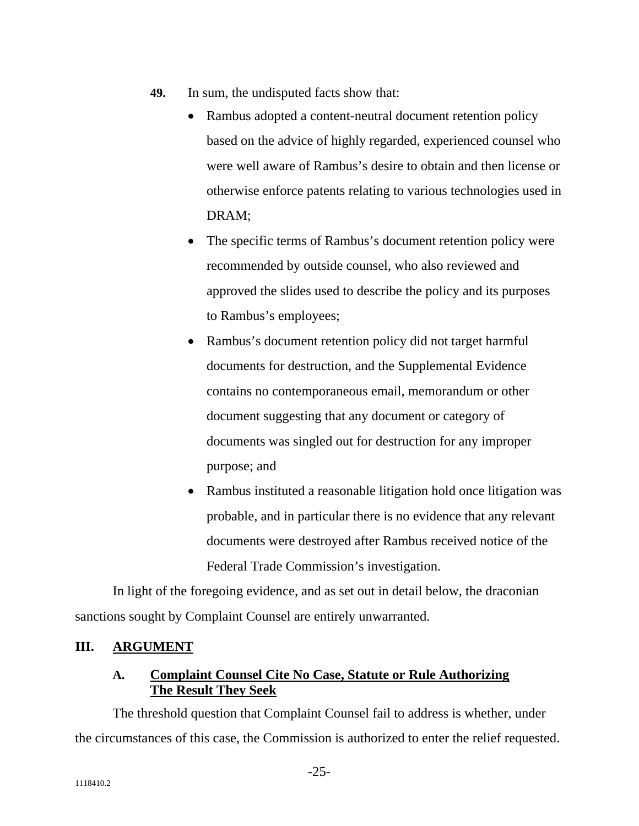- **49.** In sum, the undisputed facts show that:
	- Rambus adopted a content-neutral document retention policy based on the advice of highly regarded, experienced counsel who were well aware of Rambus's desire to obtain and then license or otherwise enforce patents relating to various technologies used in DRAM;
	- The specific terms of Rambus's document retention policy were recommended by outside counsel, who also reviewed and approved the slides used to describe the policy and its purposes to Rambus's employees;
	- Rambus's document retention policy did not target harmful documents for destruction, and the Supplemental Evidence contains no contemporaneous email, memorandum or other document suggesting that any document or category of documents was singled out for destruction for any improper purpose; and
	- Rambus instituted a reasonable litigation hold once litigation was probable, and in particular there is no evidence that any relevant documents were destroyed after Rambus received notice of the Federal Trade Commission's investigation.

In light of the foregoing evidence, and as set out in detail below, the draconian sanctions sought by Complaint Counsel are entirely unwarranted.

#### **III. ARGUMENT**

#### **Complaint Counsel Cite No Case, Statute or Rule Authorizing The Result They Seek A.**

The threshold question that Complaint Counsel fail to address is whether, under the circumstances of this case, the Commission is authorized to enter the relief requested.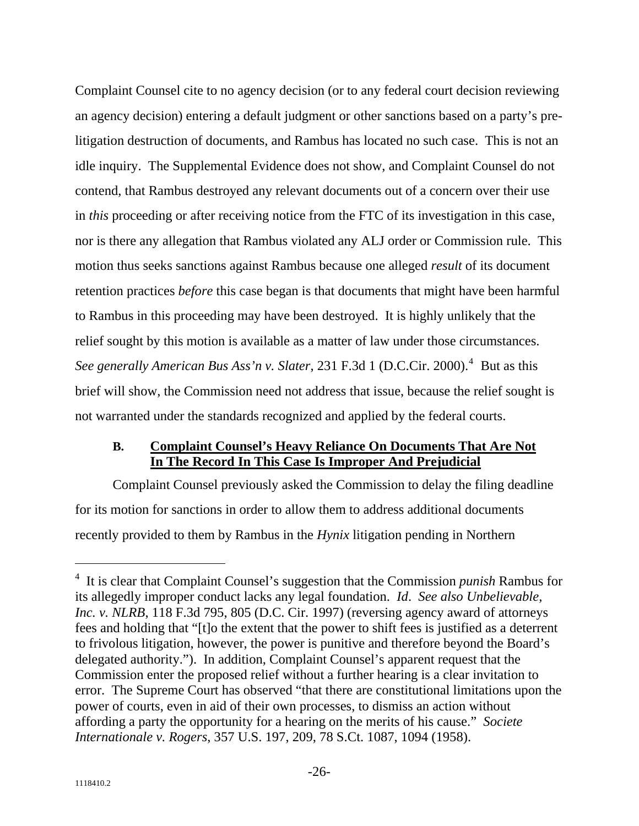Complaint Counsel cite to no agency decision (or to any federal court decision reviewing an agency decision) entering a default judgment or other sanctions based on a party's prelitigation destruction of documents, and Rambus has located no such case. This is not an idle inquiry. The Supplemental Evidence does not show, and Complaint Counsel do not contend, that Rambus destroyed any relevant documents out of a concern over their use in *this* proceeding or after receiving notice from the FTC of its investigation in this case, nor is there any allegation that Rambus violated any ALJ order or Commission rule. This motion thus seeks sanctions against Rambus because one alleged *result* of its document retention practices *before* this case began is that documents that might have been harmful to Rambus in this proceeding may have been destroyed. It is highly unlikely that the relief sought by this motion is available as a matter of law under those circumstances. See generally American Bus Ass'n v. Slater, 231 F.3d 1 (D.C.Cir. 2000).<sup>[4](#page-26-0)</sup> But as this brief will show, the Commission need not address that issue, because the relief sought is not warranted under the standards recognized and applied by the federal courts.

#### **Complaint Counsel's Heavy Reliance On Documents That Are Not In The Record In This Case Is Improper And Prejudicial B.**

Complaint Counsel previously asked the Commission to delay the filing deadline for its motion for sanctions in order to allow them to address additional documents recently provided to them by Rambus in the *Hynix* litigation pending in Northern

 $\overline{a}$ 

<span id="page-26-0"></span><sup>4</sup> It is clear that Complaint Counsel's suggestion that the Commission *punish* Rambus for its allegedly improper conduct lacks any legal foundation. *Id*. *See also Unbelievable, Inc. v. NLRB*, 118 F.3d 795, 805 (D.C. Cir. 1997) (reversing agency award of attorneys fees and holding that "[t]o the extent that the power to shift fees is justified as a deterrent to frivolous litigation, however, the power is punitive and therefore beyond the Board's delegated authority."). In addition, Complaint Counsel's apparent request that the Commission enter the proposed relief without a further hearing is a clear invitation to error. The Supreme Court has observed "that there are constitutional limitations upon the power of courts, even in aid of their own processes, to dismiss an action without affording a party the opportunity for a hearing on the merits of his cause." *Societe Internationale v. Rogers*, 357 U.S. 197, 209, 78 S.Ct. 1087, 1094 (1958).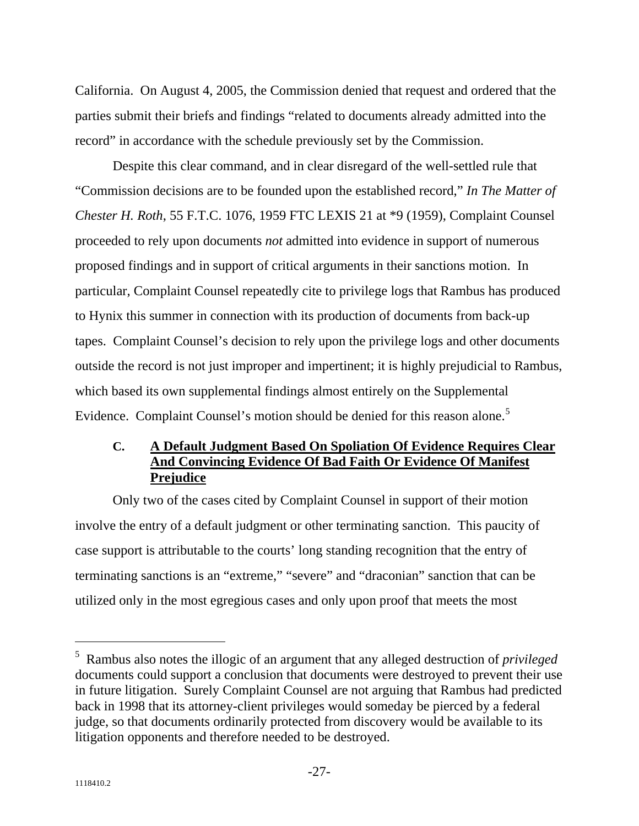California. On August 4, 2005, the Commission denied that request and ordered that the parties submit their briefs and findings "related to documents already admitted into the record" in accordance with the schedule previously set by the Commission.

Despite this clear command, and in clear disregard of the well-settled rule that "Commission decisions are to be founded upon the established record," *In The Matter of Chester H. Roth*, 55 F.T.C. 1076, 1959 FTC LEXIS 21 at \*9 (1959), Complaint Counsel proceeded to rely upon documents *not* admitted into evidence in support of numerous proposed findings and in support of critical arguments in their sanctions motion. In particular, Complaint Counsel repeatedly cite to privilege logs that Rambus has produced to Hynix this summer in connection with its production of documents from back-up tapes. Complaint Counsel's decision to rely upon the privilege logs and other documents outside the record is not just improper and impertinent; it is highly prejudicial to Rambus, which based its own supplemental findings almost entirely on the Supplemental Evidence. Complaint Counsel's motion should be denied for this reason alone.<sup>[5](#page-27-0)</sup>

#### **A Default Judgment Based On Spoliation Of Evidence Requires Clear And Convincing Evidence Of Bad Faith Or Evidence Of Manifest Prejudice C.**

Only two of the cases cited by Complaint Counsel in support of their motion involve the entry of a default judgment or other terminating sanction. This paucity of case support is attributable to the courts' long standing recognition that the entry of terminating sanctions is an "extreme," "severe" and "draconian" sanction that can be utilized only in the most egregious cases and only upon proof that meets the most

 $\overline{a}$ 

<span id="page-27-0"></span><sup>5</sup> Rambus also notes the illogic of an argument that any alleged destruction of *privileged* documents could support a conclusion that documents were destroyed to prevent their use in future litigation. Surely Complaint Counsel are not arguing that Rambus had predicted back in 1998 that its attorney-client privileges would someday be pierced by a federal judge, so that documents ordinarily protected from discovery would be available to its litigation opponents and therefore needed to be destroyed.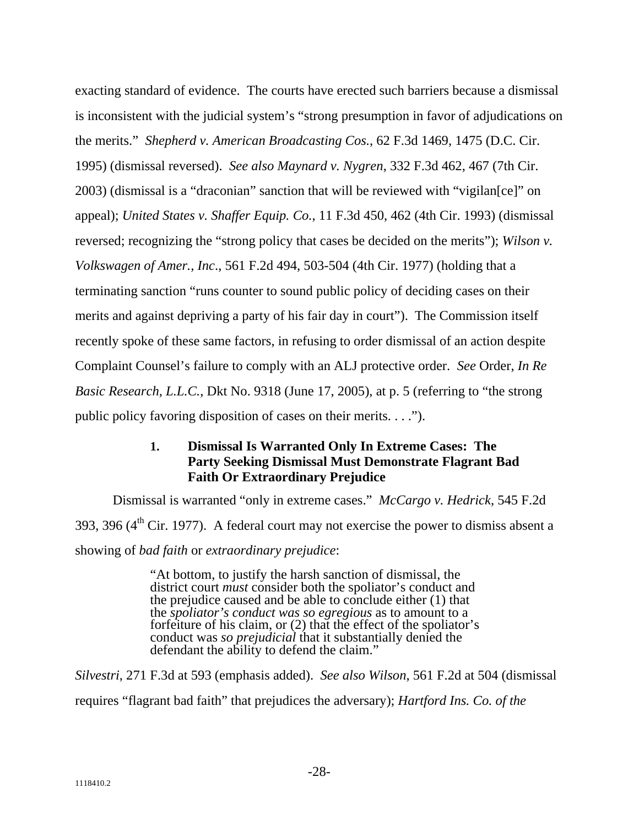exacting standard of evidence. The courts have erected such barriers because a dismissal is inconsistent with the judicial system's "strong presumption in favor of adjudications on the merits." *Shepherd v. American Broadcasting Cos.*, 62 F.3d 1469, 1475 (D.C. Cir. 1995) (dismissal reversed). *See also Maynard v. Nygren*, 332 F.3d 462, 467 (7th Cir. 2003) (dismissal is a "draconian" sanction that will be reviewed with "vigilan[ce]" on appeal); *United States v. Shaffer Equip. Co.*, 11 F.3d 450, 462 (4th Cir. 1993) (dismissal reversed; recognizing the "strong policy that cases be decided on the merits"); *Wilson v. Volkswagen of Amer., Inc*., 561 F.2d 494, 503-504 (4th Cir. 1977) (holding that a terminating sanction "runs counter to sound public policy of deciding cases on their merits and against depriving a party of his fair day in court"). The Commission itself recently spoke of these same factors, in refusing to order dismissal of an action despite Complaint Counsel's failure to comply with an ALJ protective order. *See* Order, *In Re Basic Research, L.L.C.*, Dkt No. 9318 (June 17, 2005), at p. 5 (referring to "the strong public policy favoring disposition of cases on their merits. . . .").

#### **Dismissal Is Warranted Only In Extreme Cases: The Party Seeking Dismissal Must Demonstrate Flagrant Bad Faith Or Extraordinary Prejudice 1.**

Dismissal is warranted "only in extreme cases." *McCargo v. Hedrick*, 545 F.2d 393, 396 ( $4<sup>th</sup>$  Cir. 1977). A federal court may not exercise the power to dismiss absent a showing of *bad faith* or *extraordinary prejudice*:

> "At bottom, to justify the harsh sanction of dismissal, the district court *must* consider both the spoliator's conduct and the prejudice caused and be able to conclude either (1) that the *spoliator's conduct was so egregious* as to amount to a forfeiture of his claim, or (2) that the effect of the spoliator's conduct was *so prejudicial* that it substantially denied the defendant the ability to defend the claim."

*Silvestri*, 271 F.3d at 593 (emphasis added). *See also Wilson*, 561 F.2d at 504 (dismissal requires "flagrant bad faith" that prejudices the adversary); *Hartford Ins. Co. of the*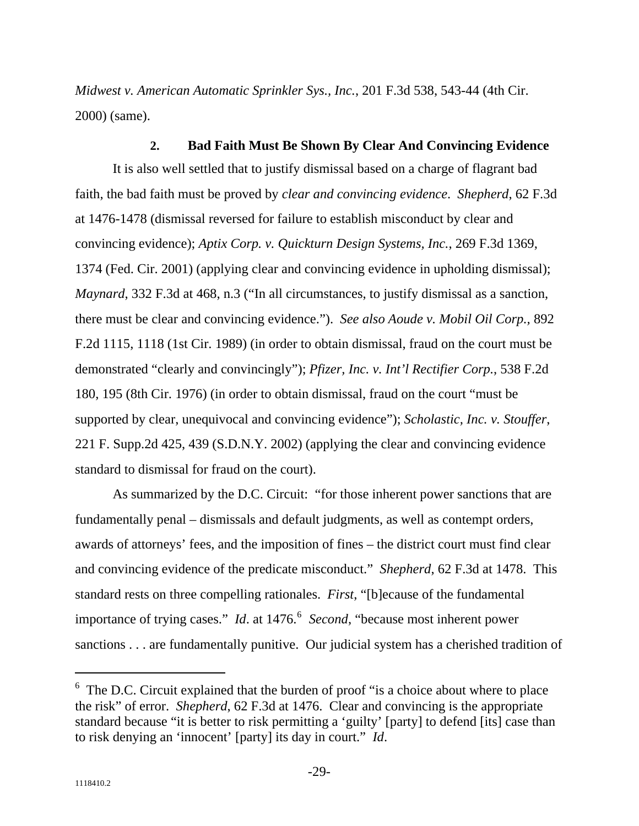*Midwest v. American Automatic Sprinkler Sys., Inc.*, 201 F.3d 538, 543-44 (4th Cir. 2000) (same).

**2. Bad Faith Must Be Shown By Clear And Convincing Evidence**  It is also well settled that to justify dismissal based on a charge of flagrant bad faith, the bad faith must be proved by *clear and convincing evidence*. *Shepherd*, 62 F.3d at 1476-1478 (dismissal reversed for failure to establish misconduct by clear and convincing evidence); *Aptix Corp. v. Quickturn Design Systems, Inc.*, 269 F.3d 1369, 1374 (Fed. Cir. 2001) (applying clear and convincing evidence in upholding dismissal); *Maynard*, 332 F.3d at 468, n.3 ("In all circumstances, to justify dismissal as a sanction, there must be clear and convincing evidence."). *See also Aoude v. Mobil Oil Corp.,* 892 F.2d 1115, 1118 (1st Cir. 1989) (in order to obtain dismissal, fraud on the court must be demonstrated "clearly and convincingly"); *Pfizer, Inc. v. Int'l Rectifier Corp.*, 538 F.2d 180, 195 (8th Cir. 1976) (in order to obtain dismissal, fraud on the court "must be supported by clear, unequivocal and convincing evidence"); *Scholastic, Inc. v. Stouffer*, 221 F. Supp.2d 425, 439 (S.D.N.Y. 2002) (applying the clear and convincing evidence standard to dismissal for fraud on the court).

As summarized by the D.C. Circuit: "for those inherent power sanctions that are fundamentally penal – dismissals and default judgments, as well as contempt orders, awards of attorneys' fees, and the imposition of fines – the district court must find clear and convincing evidence of the predicate misconduct." *Shepherd*, 62 F.3d at 1478. This standard rests on three compelling rationales. *First*, "[b]ecause of the fundamental importance of trying cases." *Id.* at 147[6](#page-29-0).<sup>6</sup> Second, "because most inherent power sanctions . . . are fundamentally punitive. Our judicial system has a cherished tradition of

 $\overline{a}$ 

<span id="page-29-0"></span> $6$  The D.C. Circuit explained that the burden of proof "is a choice about where to place the risk" of error. *Shepherd*, 62 F.3d at 1476. Clear and convincing is the appropriate standard because "it is better to risk permitting a 'guilty' [party] to defend [its] case than to risk denying an 'innocent' [party] its day in court." *Id*.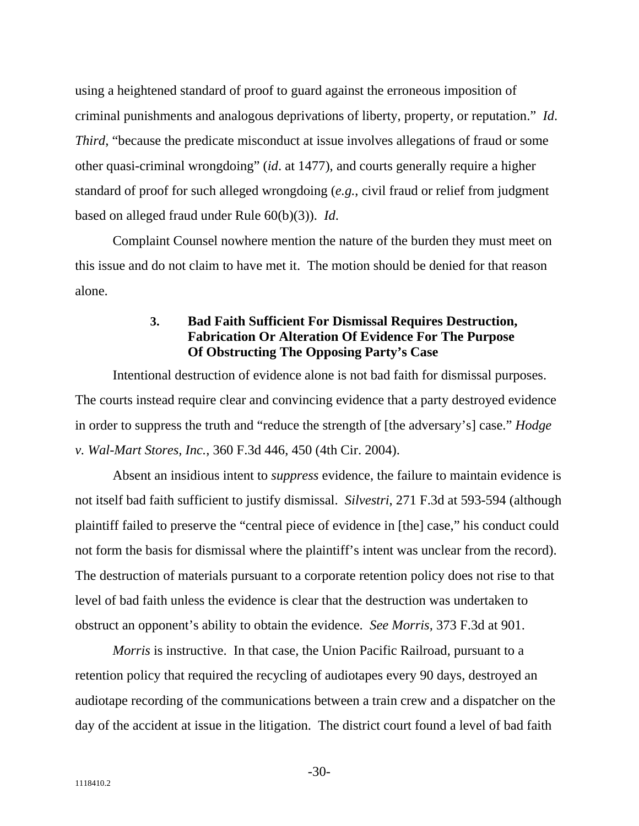using a heightened standard of proof to guard against the erroneous imposition of criminal punishments and analogous deprivations of liberty, property, or reputation." *Id*. *Third*, "because the predicate misconduct at issue involves allegations of fraud or some other quasi-criminal wrongdoing" (*id*. at 1477), and courts generally require a higher standard of proof for such alleged wrongdoing (*e.g.*, civil fraud or relief from judgment based on alleged fraud under Rule 60(b)(3)). *Id*.

Complaint Counsel nowhere mention the nature of the burden they must meet on this issue and do not claim to have met it. The motion should be denied for that reason alone.

#### **Bad Faith Sufficient For Dismissal Requires Destruction, Fabrication Or Alteration Of Evidence For The Purpose Of Obstructing The Opposing Party's Case 3.**

Intentional destruction of evidence alone is not bad faith for dismissal purposes. The courts instead require clear and convincing evidence that a party destroyed evidence in order to suppress the truth and "reduce the strength of [the adversary's] case." *Hodge v. Wal-Mart Stores, Inc.*, 360 F.3d 446, 450 (4th Cir. 2004).

Absent an insidious intent to *suppress* evidence, the failure to maintain evidence is not itself bad faith sufficient to justify dismissal. *Silvestri*, 271 F.3d at 593-594 (although plaintiff failed to preserve the "central piece of evidence in [the] case," his conduct could not form the basis for dismissal where the plaintiff's intent was unclear from the record). The destruction of materials pursuant to a corporate retention policy does not rise to that level of bad faith unless the evidence is clear that the destruction was undertaken to obstruct an opponent's ability to obtain the evidence. *See Morris,* 373 F.3d at 901.

*Morris* is instructive. In that case, the Union Pacific Railroad, pursuant to a retention policy that required the recycling of audiotapes every 90 days, destroyed an audiotape recording of the communications between a train crew and a dispatcher on the day of the accident at issue in the litigation. The district court found a level of bad faith

-30-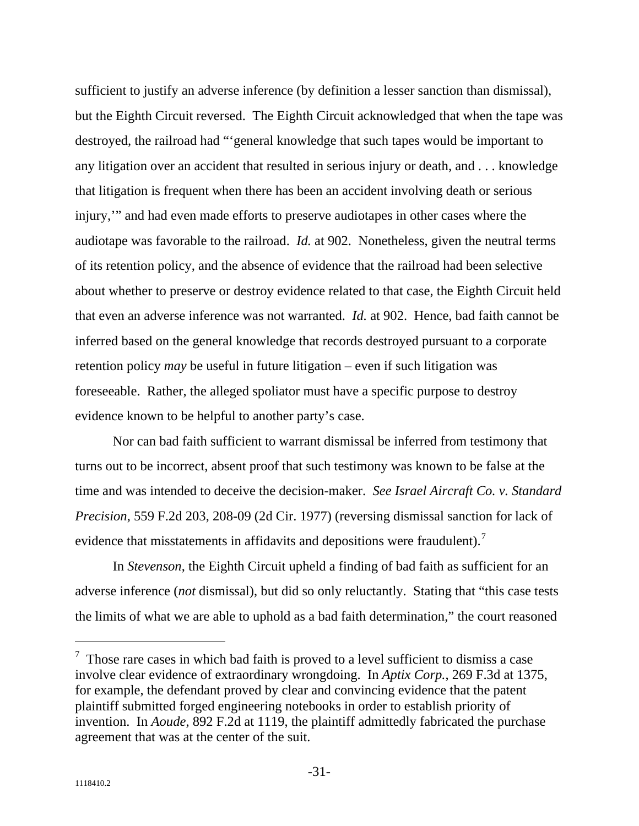sufficient to justify an adverse inference (by definition a lesser sanction than dismissal), but the Eighth Circuit reversed. The Eighth Circuit acknowledged that when the tape was destroyed, the railroad had "'general knowledge that such tapes would be important to any litigation over an accident that resulted in serious injury or death, and . . . knowledge that litigation is frequent when there has been an accident involving death or serious injury,'" and had even made efforts to preserve audiotapes in other cases where the audiotape was favorable to the railroad. *Id.* at 902. Nonetheless, given the neutral terms of its retention policy, and the absence of evidence that the railroad had been selective about whether to preserve or destroy evidence related to that case, the Eighth Circuit held that even an adverse inference was not warranted. *Id.* at 902. Hence, bad faith cannot be inferred based on the general knowledge that records destroyed pursuant to a corporate retention policy *may* be useful in future litigation – even if such litigation was foreseeable. Rather, the alleged spoliator must have a specific purpose to destroy evidence known to be helpful to another party's case.

Nor can bad faith sufficient to warrant dismissal be inferred from testimony that turns out to be incorrect, absent proof that such testimony was known to be false at the time and was intended to deceive the decision-maker. *See Israel Aircraft Co. v. Standard Precision*, 559 F.2d 203, 208-09 (2d Cir. 1977) (reversing dismissal sanction for lack of evidence that misstatements in affidavits and depositions were fraudulent).<sup>[7](#page-31-0)</sup>

In *Stevenson*, the Eighth Circuit upheld a finding of bad faith as sufficient for an adverse inference (*not* dismissal), but did so only reluctantly. Stating that "this case tests the limits of what we are able to uphold as a bad faith determination," the court reasoned

 $\overline{a}$ 

<span id="page-31-0"></span> $\frac{7}{1}$  Those rare cases in which bad faith is proved to a level sufficient to dismiss a case involve clear evidence of extraordinary wrongdoing. In *Aptix Corp.*, 269 F.3d at 1375, for example, the defendant proved by clear and convincing evidence that the patent plaintiff submitted forged engineering notebooks in order to establish priority of invention. In *Aoude*, 892 F.2d at 1119, the plaintiff admittedly fabricated the purchase agreement that was at the center of the suit.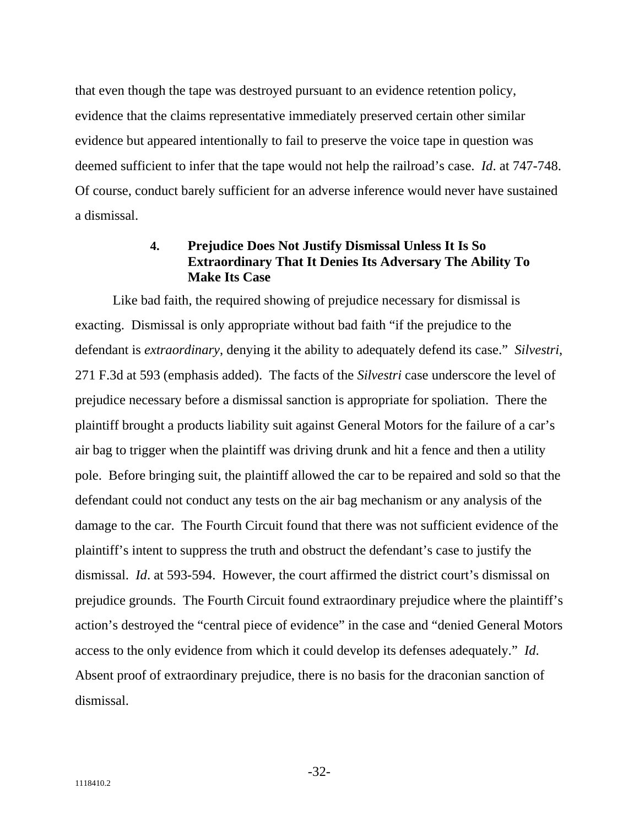that even though the tape was destroyed pursuant to an evidence retention policy, evidence that the claims representative immediately preserved certain other similar evidence but appeared intentionally to fail to preserve the voice tape in question was deemed sufficient to infer that the tape would not help the railroad's case. *Id*. at 747-748. Of course, conduct barely sufficient for an adverse inference would never have sustained a dismissal.

#### **Prejudice Does Not Justify Dismissal Unless It Is So Extraordinary That It Denies Its Adversary The Ability To Make Its Case 4.**

Like bad faith, the required showing of prejudice necessary for dismissal is exacting. Dismissal is only appropriate without bad faith "if the prejudice to the defendant is *extraordinary*, denying it the ability to adequately defend its case." *Silvestri*, 271 F.3d at 593 (emphasis added). The facts of the *Silvestri* case underscore the level of prejudice necessary before a dismissal sanction is appropriate for spoliation. There the plaintiff brought a products liability suit against General Motors for the failure of a car's air bag to trigger when the plaintiff was driving drunk and hit a fence and then a utility pole. Before bringing suit, the plaintiff allowed the car to be repaired and sold so that the defendant could not conduct any tests on the air bag mechanism or any analysis of the damage to the car. The Fourth Circuit found that there was not sufficient evidence of the plaintiff's intent to suppress the truth and obstruct the defendant's case to justify the dismissal. *Id*. at 593-594. However, the court affirmed the district court's dismissal on prejudice grounds. The Fourth Circuit found extraordinary prejudice where the plaintiff's action's destroyed the "central piece of evidence" in the case and "denied General Motors access to the only evidence from which it could develop its defenses adequately." *Id*. Absent proof of extraordinary prejudice, there is no basis for the draconian sanction of dismissal.

-32-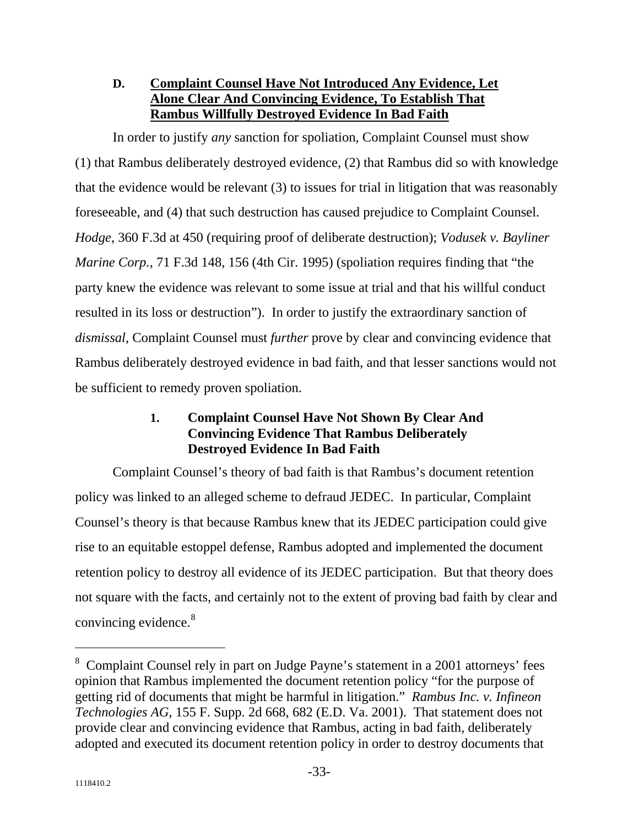#### **Complaint Counsel Have Not Introduced Any Evidence, Let Alone Clear And Convincing Evidence, To Establish That Rambus Willfully Destroyed Evidence In Bad Faith D.**

In order to justify *any* sanction for spoliation, Complaint Counsel must show (1) that Rambus deliberately destroyed evidence, (2) that Rambus did so with knowledge that the evidence would be relevant (3) to issues for trial in litigation that was reasonably foreseeable, and (4) that such destruction has caused prejudice to Complaint Counsel. *Hodge*, 360 F.3d at 450 (requiring proof of deliberate destruction); *Vodusek v. Bayliner Marine Corp.*, 71 F.3d 148, 156 (4th Cir. 1995) (spoliation requires finding that "the party knew the evidence was relevant to some issue at trial and that his willful conduct resulted in its loss or destruction"). In order to justify the extraordinary sanction of *dismissal*, Complaint Counsel must *further* prove by clear and convincing evidence that Rambus deliberately destroyed evidence in bad faith, and that lesser sanctions would not be sufficient to remedy proven spoliation.

#### **1. Complaint Counsel Have Not Shown By Clear And Convincing Evidence That Rambus Deliberately Destroyed Evidence In Bad Faith**

Complaint Counsel's theory of bad faith is that Rambus's document retention policy was linked to an alleged scheme to defraud JEDEC. In particular, Complaint Counsel's theory is that because Rambus knew that its JEDEC participation could give rise to an equitable estoppel defense, Rambus adopted and implemented the document retention policy to destroy all evidence of its JEDEC participation. But that theory does not square with the facts, and certainly not to the extent of proving bad faith by clear and convincing evidence.<sup>[8](#page-33-0)</sup>

 $\overline{a}$ 

<span id="page-33-0"></span><sup>&</sup>lt;sup>8</sup> Complaint Counsel rely in part on Judge Payne's statement in a 2001 attorneys' fees opinion that Rambus implemented the document retention policy "for the purpose of getting rid of documents that might be harmful in litigation." *Rambus Inc. v. Infineon Technologies AG*, 155 F. Supp. 2d 668, 682 (E.D. Va. 2001). That statement does not provide clear and convincing evidence that Rambus, acting in bad faith, deliberately adopted and executed its document retention policy in order to destroy documents that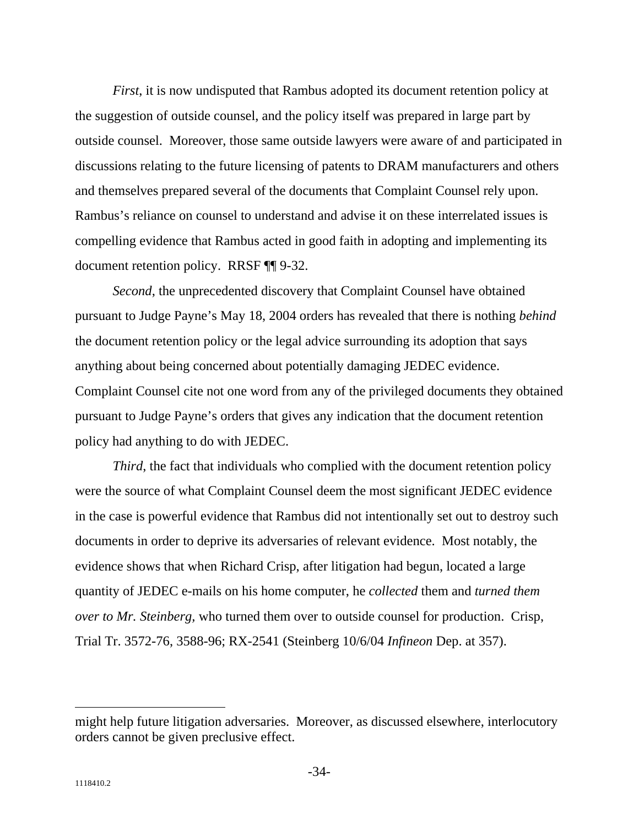*First*, it is now undisputed that Rambus adopted its document retention policy at the suggestion of outside counsel, and the policy itself was prepared in large part by outside counsel. Moreover, those same outside lawyers were aware of and participated in discussions relating to the future licensing of patents to DRAM manufacturers and others and themselves prepared several of the documents that Complaint Counsel rely upon. Rambus's reliance on counsel to understand and advise it on these interrelated issues is compelling evidence that Rambus acted in good faith in adopting and implementing its document retention policy. RRSF ¶¶ 9-32.

*Second*, the unprecedented discovery that Complaint Counsel have obtained pursuant to Judge Payne's May 18, 2004 orders has revealed that there is nothing *behind* the document retention policy or the legal advice surrounding its adoption that says anything about being concerned about potentially damaging JEDEC evidence. Complaint Counsel cite not one word from any of the privileged documents they obtained pursuant to Judge Payne's orders that gives any indication that the document retention policy had anything to do with JEDEC.

*Third*, the fact that individuals who complied with the document retention policy were the source of what Complaint Counsel deem the most significant JEDEC evidence in the case is powerful evidence that Rambus did not intentionally set out to destroy such documents in order to deprive its adversaries of relevant evidence. Most notably, the evidence shows that when Richard Crisp, after litigation had begun, located a large quantity of JEDEC e-mails on his home computer, he *collected* them and *turned them over to Mr. Steinberg,* who turned them over to outside counsel for production. Crisp, Trial Tr. 3572-76, 3588-96; RX-2541 (Steinberg 10/6/04 *Infineon* Dep. at 357).

might help future litigation adversaries. Moreover, as discussed elsewhere, interlocutory orders cannot be given preclusive effect.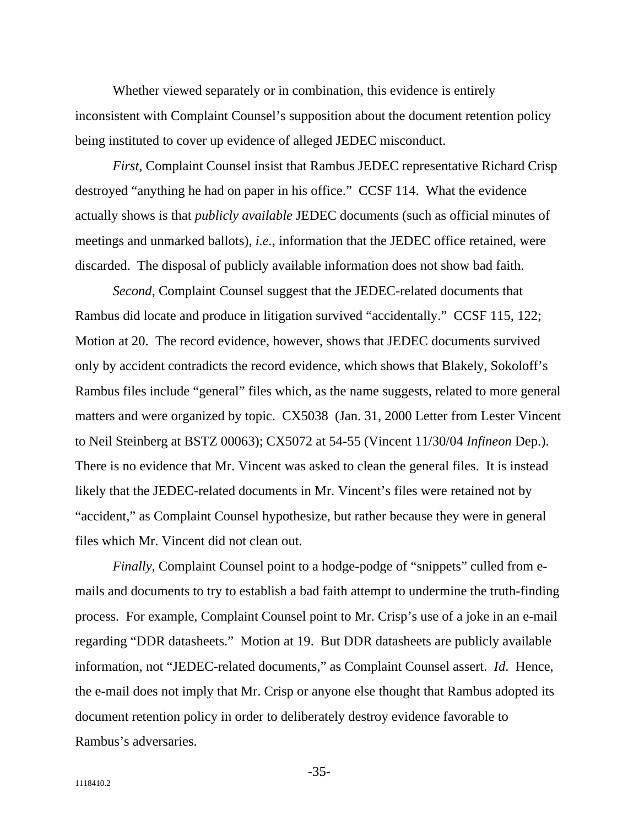Whether viewed separately or in combination, this evidence is entirely inconsistent with Complaint Counsel's supposition about the document retention policy being instituted to cover up evidence of alleged JEDEC misconduct.

*First*, Complaint Counsel insist that Rambus JEDEC representative Richard Crisp destroyed "anything he had on paper in his office." CCSF 114. What the evidence actually shows is that *publicly available* JEDEC documents (such as official minutes of meetings and unmarked ballots), *i.e.*, information that the JEDEC office retained, were discarded. The disposal of publicly available information does not show bad faith.

*Second*, Complaint Counsel suggest that the JEDEC-related documents that Rambus did locate and produce in litigation survived "accidentally." CCSF 115, 122; Motion at 20. The record evidence, however, shows that JEDEC documents survived only by accident contradicts the record evidence, which shows that Blakely, Sokoloff's Rambus files include "general" files which, as the name suggests, related to more general matters and were organized by topic. CX5038 (Jan. 31, 2000 Letter from Lester Vincent to Neil Steinberg at BSTZ 00063); CX5072 at 54-55 (Vincent 11/30/04 *Infineon* Dep.). There is no evidence that Mr. Vincent was asked to clean the general files. It is instead likely that the JEDEC-related documents in Mr. Vincent's files were retained not by "accident," as Complaint Counsel hypothesize, but rather because they were in general files which Mr. Vincent did not clean out.

*Finally*, Complaint Counsel point to a hodge-podge of "snippets" culled from emails and documents to try to establish a bad faith attempt to undermine the truth-finding process. For example, Complaint Counsel point to Mr. Crisp's use of a joke in an e-mail regarding "DDR datasheets." Motion at 19. But DDR datasheets are publicly available information, not "JEDEC-related documents," as Complaint Counsel assert. *Id*. Hence, the e-mail does not imply that Mr. Crisp or anyone else thought that Rambus adopted its document retention policy in order to deliberately destroy evidence favorable to Rambus's adversaries.

-35-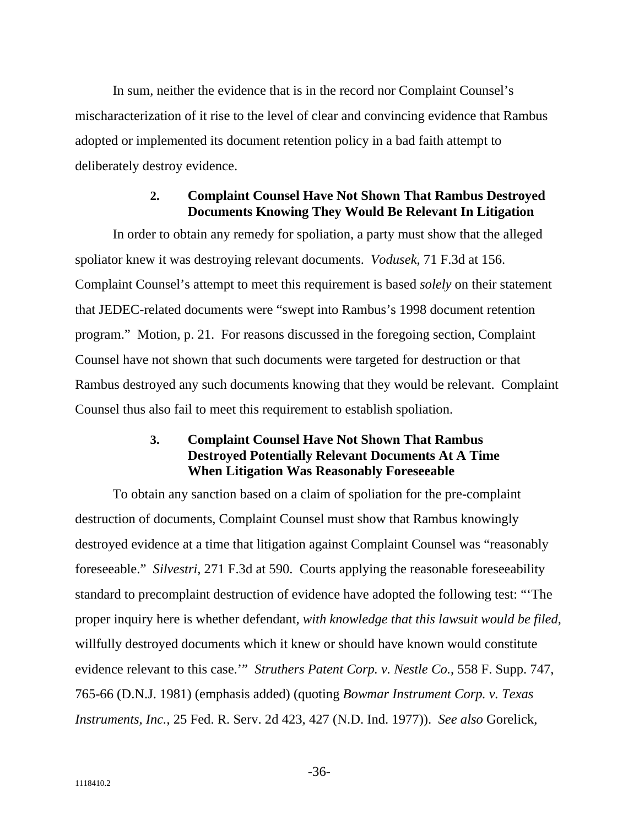In sum, neither the evidence that is in the record nor Complaint Counsel's mischaracterization of it rise to the level of clear and convincing evidence that Rambus adopted or implemented its document retention policy in a bad faith attempt to deliberately destroy evidence.

#### **Complaint Counsel Have Not Shown That Rambus Destroyed Documents Knowing They Would Be Relevant In Litigation 2.**

In order to obtain any remedy for spoliation, a party must show that the alleged spoliator knew it was destroying relevant documents. *Vodusek*, 71 F.3d at 156. Complaint Counsel's attempt to meet this requirement is based *solely* on their statement that JEDEC-related documents were "swept into Rambus's 1998 document retention program." Motion, p. 21. For reasons discussed in the foregoing section, Complaint Counsel have not shown that such documents were targeted for destruction or that Rambus destroyed any such documents knowing that they would be relevant. Complaint Counsel thus also fail to meet this requirement to establish spoliation.

#### **3. Complaint Counsel Have Not Shown That Rambus Destroyed Potentially Relevant Documents At A Time When Litigation Was Reasonably Foreseeable**

To obtain any sanction based on a claim of spoliation for the pre-complaint destruction of documents, Complaint Counsel must show that Rambus knowingly destroyed evidence at a time that litigation against Complaint Counsel was "reasonably foreseeable." *Silvestri*, 271 F.3d at 590. Courts applying the reasonable foreseeability standard to precomplaint destruction of evidence have adopted the following test: "'The proper inquiry here is whether defendant, *with knowledge that this lawsuit would be filed*, willfully destroyed documents which it knew or should have known would constitute evidence relevant to this case.'" *Struthers Patent Corp. v. Nestle Co.*, 558 F. Supp. 747, 765-66 (D.N.J. 1981) (emphasis added) (quoting *Bowmar Instrument Corp. v. Texas Instruments, Inc.,* 25 Fed. R. Serv. 2d 423, 427 (N.D. Ind. 1977)). *See also* Gorelick,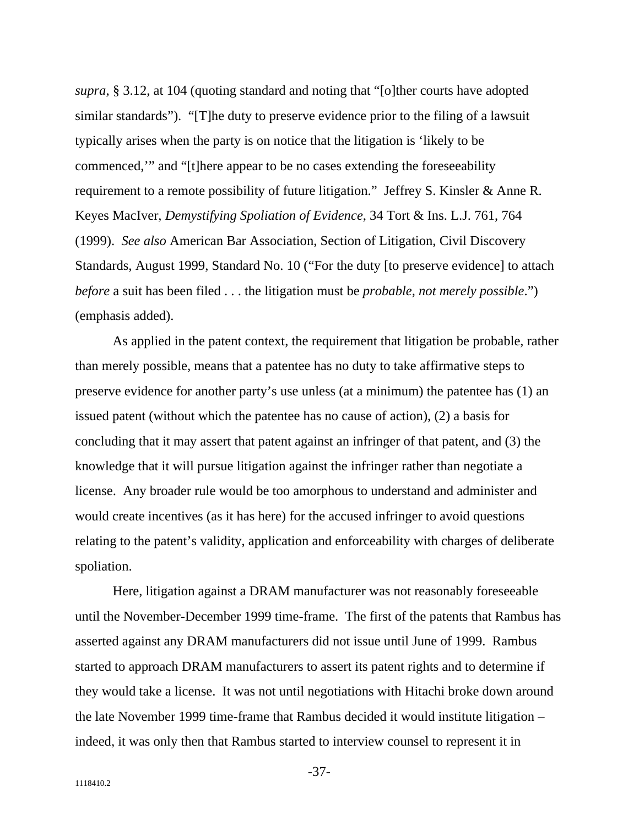*supra*, § 3.12, at 104 (quoting standard and noting that "[o]ther courts have adopted similar standards"). "[T]he duty to preserve evidence prior to the filing of a lawsuit typically arises when the party is on notice that the litigation is 'likely to be commenced,'" and "[t]here appear to be no cases extending the foreseeability requirement to a remote possibility of future litigation." Jeffrey S. Kinsler & Anne R. Keyes MacIver, *Demystifying Spoliation of Evidence*, 34 Tort & Ins. L.J. 761, 764 (1999). *See also* American Bar Association, Section of Litigation, Civil Discovery Standards, August 1999, Standard No. 10 ("For the duty [to preserve evidence] to attach *before* a suit has been filed . . . the litigation must be *probable, not merely possible*.") (emphasis added).

As applied in the patent context, the requirement that litigation be probable, rather than merely possible, means that a patentee has no duty to take affirmative steps to preserve evidence for another party's use unless (at a minimum) the patentee has (1) an issued patent (without which the patentee has no cause of action), (2) a basis for concluding that it may assert that patent against an infringer of that patent, and (3) the knowledge that it will pursue litigation against the infringer rather than negotiate a license. Any broader rule would be too amorphous to understand and administer and would create incentives (as it has here) for the accused infringer to avoid questions relating to the patent's validity, application and enforceability with charges of deliberate spoliation.

Here, litigation against a DRAM manufacturer was not reasonably foreseeable until the November-December 1999 time-frame. The first of the patents that Rambus has asserted against any DRAM manufacturers did not issue until June of 1999. Rambus started to approach DRAM manufacturers to assert its patent rights and to determine if they would take a license. It was not until negotiations with Hitachi broke down around the late November 1999 time-frame that Rambus decided it would institute litigation – indeed, it was only then that Rambus started to interview counsel to represent it in

-37-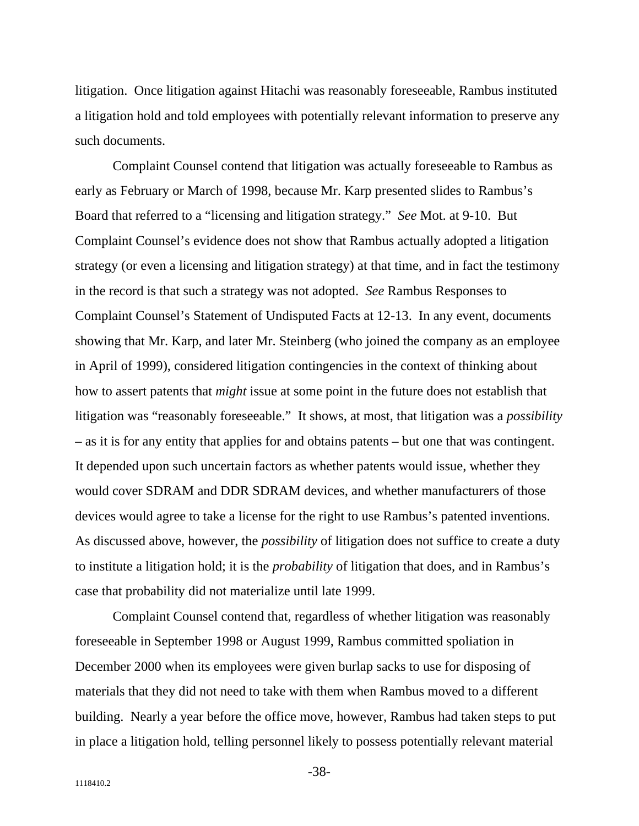litigation. Once litigation against Hitachi was reasonably foreseeable, Rambus instituted a litigation hold and told employees with potentially relevant information to preserve any such documents.

Complaint Counsel contend that litigation was actually foreseeable to Rambus as early as February or March of 1998, because Mr. Karp presented slides to Rambus's Board that referred to a "licensing and litigation strategy." *See* Mot. at 9-10. But Complaint Counsel's evidence does not show that Rambus actually adopted a litigation strategy (or even a licensing and litigation strategy) at that time, and in fact the testimony in the record is that such a strategy was not adopted. *See* Rambus Responses to Complaint Counsel's Statement of Undisputed Facts at 12-13. In any event, documents showing that Mr. Karp, and later Mr. Steinberg (who joined the company as an employee in April of 1999), considered litigation contingencies in the context of thinking about how to assert patents that *might* issue at some point in the future does not establish that litigation was "reasonably foreseeable." It shows, at most, that litigation was a *possibility* – as it is for any entity that applies for and obtains patents – but one that was contingent. It depended upon such uncertain factors as whether patents would issue, whether they would cover SDRAM and DDR SDRAM devices, and whether manufacturers of those devices would agree to take a license for the right to use Rambus's patented inventions. As discussed above, however, the *possibility* of litigation does not suffice to create a duty to institute a litigation hold; it is the *probability* of litigation that does, and in Rambus's case that probability did not materialize until late 1999.

Complaint Counsel contend that, regardless of whether litigation was reasonably foreseeable in September 1998 or August 1999, Rambus committed spoliation in December 2000 when its employees were given burlap sacks to use for disposing of materials that they did not need to take with them when Rambus moved to a different building. Nearly a year before the office move, however, Rambus had taken steps to put in place a litigation hold, telling personnel likely to possess potentially relevant material

-38-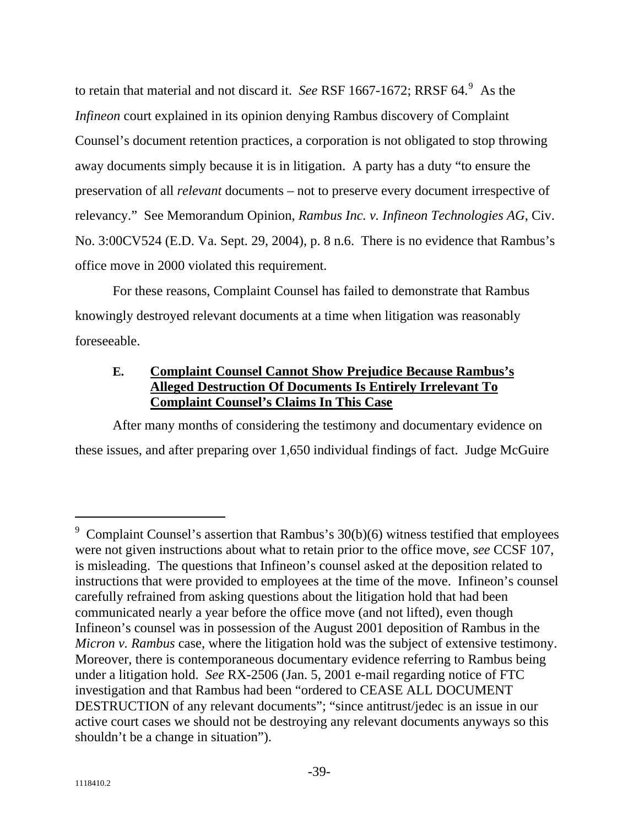to retain that material and not discard it. *See* RSF 1667-1672; RRSF 64.<sup>[9](#page-39-0)</sup> As the *Infineon* court explained in its opinion denying Rambus discovery of Complaint Counsel's document retention practices, a corporation is not obligated to stop throwing away documents simply because it is in litigation. A party has a duty "to ensure the preservation of all *relevant* documents – not to preserve every document irrespective of relevancy." See Memorandum Opinion, *Rambus Inc. v. Infineon Technologies AG*, Civ. No. 3:00CV524 (E.D. Va. Sept. 29, 2004), p. 8 n.6. There is no evidence that Rambus's office move in 2000 violated this requirement.

For these reasons, Complaint Counsel has failed to demonstrate that Rambus knowingly destroyed relevant documents at a time when litigation was reasonably foreseeable.

#### **Complaint Counsel Cannot Show Prejudice Because Rambus's Alleged Destruction Of Documents Is Entirely Irrelevant To Complaint Counsel's Claims In This Case E.**

After many months of considering the testimony and documentary evidence on these issues, and after preparing over 1,650 individual findings of fact. Judge McGuire

 $\overline{a}$ 

<span id="page-39-0"></span><sup>9</sup> Complaint Counsel's assertion that Rambus's 30(b)(6) witness testified that employees were not given instructions about what to retain prior to the office move, *see* CCSF 107, is misleading. The questions that Infineon's counsel asked at the deposition related to instructions that were provided to employees at the time of the move. Infineon's counsel carefully refrained from asking questions about the litigation hold that had been communicated nearly a year before the office move (and not lifted), even though Infineon's counsel was in possession of the August 2001 deposition of Rambus in the *Micron v. Rambus* case, where the litigation hold was the subject of extensive testimony. Moreover, there is contemporaneous documentary evidence referring to Rambus being under a litigation hold. *See* RX-2506 (Jan. 5, 2001 e-mail regarding notice of FTC investigation and that Rambus had been "ordered to CEASE ALL DOCUMENT DESTRUCTION of any relevant documents"; "since antitrust/jedec is an issue in our active court cases we should not be destroying any relevant documents anyways so this shouldn't be a change in situation").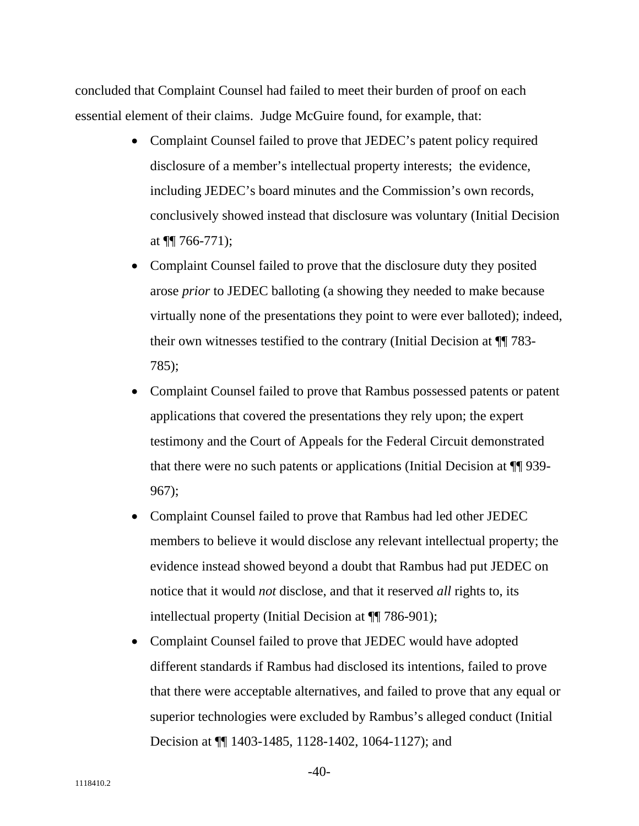concluded that Complaint Counsel had failed to meet their burden of proof on each essential element of their claims. Judge McGuire found, for example, that:

- Complaint Counsel failed to prove that JEDEC's patent policy required disclosure of a member's intellectual property interests; the evidence, including JEDEC's board minutes and the Commission's own records, conclusively showed instead that disclosure was voluntary (Initial Decision at  $\P\P$  766-771);
- Complaint Counsel failed to prove that the disclosure duty they posited arose *prior* to JEDEC balloting (a showing they needed to make because virtually none of the presentations they point to were ever balloted); indeed, their own witnesses testified to the contrary (Initial Decision at ¶¶ 783- 785);
- Complaint Counsel failed to prove that Rambus possessed patents or patent applications that covered the presentations they rely upon; the expert testimony and the Court of Appeals for the Federal Circuit demonstrated that there were no such patents or applications (Initial Decision at ¶¶ 939- 967);
- Complaint Counsel failed to prove that Rambus had led other JEDEC members to believe it would disclose any relevant intellectual property; the evidence instead showed beyond a doubt that Rambus had put JEDEC on notice that it would *not* disclose, and that it reserved *all* rights to, its intellectual property (Initial Decision at ¶¶ 786-901);
- Complaint Counsel failed to prove that JEDEC would have adopted different standards if Rambus had disclosed its intentions, failed to prove that there were acceptable alternatives, and failed to prove that any equal or superior technologies were excluded by Rambus's alleged conduct (Initial Decision at ¶¶ 1403-1485, 1128-1402, 1064-1127); and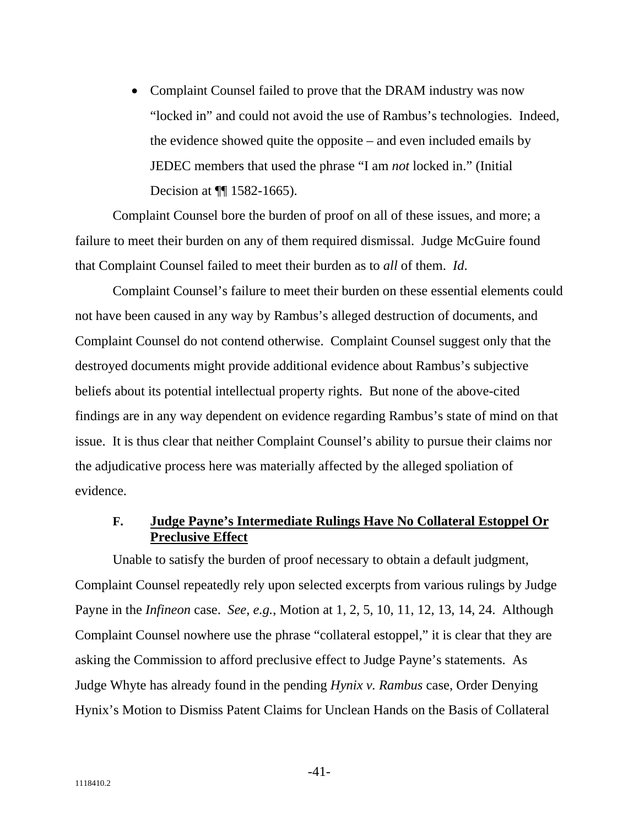• Complaint Counsel failed to prove that the DRAM industry was now "locked in" and could not avoid the use of Rambus's technologies. Indeed, the evidence showed quite the opposite – and even included emails by JEDEC members that used the phrase "I am *not* locked in." (Initial Decision at  $\P$  1582-1665).

Complaint Counsel bore the burden of proof on all of these issues, and more; a failure to meet their burden on any of them required dismissal. Judge McGuire found that Complaint Counsel failed to meet their burden as to *all* of them. *Id*.

Complaint Counsel's failure to meet their burden on these essential elements could not have been caused in any way by Rambus's alleged destruction of documents, and Complaint Counsel do not contend otherwise. Complaint Counsel suggest only that the destroyed documents might provide additional evidence about Rambus's subjective beliefs about its potential intellectual property rights. But none of the above-cited findings are in any way dependent on evidence regarding Rambus's state of mind on that issue. It is thus clear that neither Complaint Counsel's ability to pursue their claims nor the adjudicative process here was materially affected by the alleged spoliation of evidence.

#### **Judge Payne's Intermediate Rulings Have No Collateral Estoppel Or Preclusive Effect F.**

Unable to satisfy the burden of proof necessary to obtain a default judgment, Complaint Counsel repeatedly rely upon selected excerpts from various rulings by Judge Payne in the *Infineon* case. *See*, *e.g.*, Motion at 1, 2, 5, 10, 11, 12, 13, 14, 24. Although Complaint Counsel nowhere use the phrase "collateral estoppel," it is clear that they are asking the Commission to afford preclusive effect to Judge Payne's statements. As Judge Whyte has already found in the pending *Hynix v. Rambus* case, Order Denying Hynix's Motion to Dismiss Patent Claims for Unclean Hands on the Basis of Collateral

-41-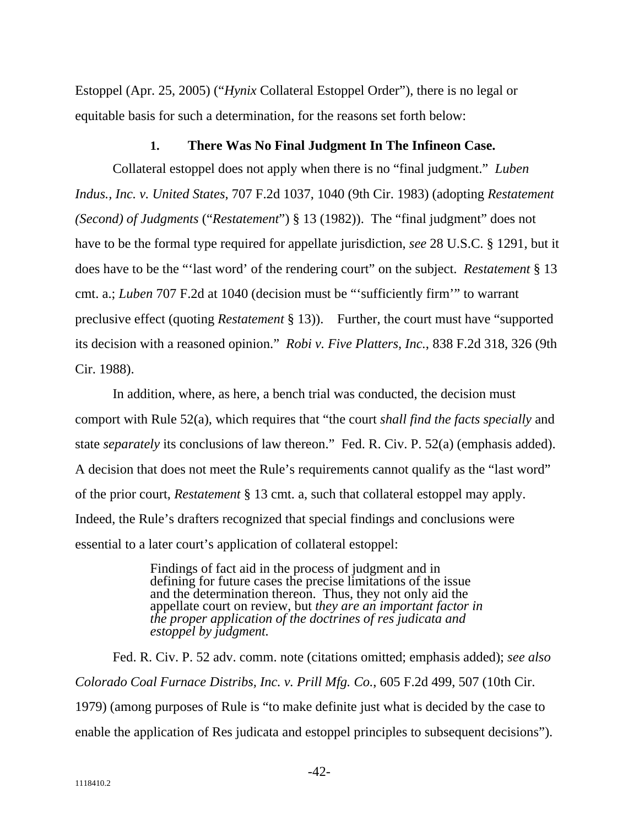Estoppel (Apr. 25, 2005) ("*Hynix* Collateral Estoppel Order"), there is no legal or equitable basis for such a determination, for the reasons set forth below:

### **1. There Was No Final Judgment In The Infineon Case.**

Collateral estoppel does not apply when there is no "final judgment." *Luben Indus., Inc. v. United States*, 707 F.2d 1037, 1040 (9th Cir. 1983) (adopting *Restatement (Second) of Judgments* ("*Restatement*") § 13 (1982)). The "final judgment" does not have to be the formal type required for appellate jurisdiction, *see* 28 U.S.C. § 1291, but it does have to be the "'last word' of the rendering court" on the subject. *Restatement* § 13 cmt. a.; *Luben* 707 F.2d at 1040 (decision must be "'sufficiently firm'" to warrant preclusive effect (quoting *Restatement* § 13)). Further, the court must have "supported its decision with a reasoned opinion." *Robi v. Five Platters, Inc.*, 838 F.2d 318, 326 (9th Cir. 1988).

In addition, where, as here, a bench trial was conducted, the decision must comport with Rule 52(a), which requires that "the court *shall find the facts specially* and state *separately* its conclusions of law thereon." Fed. R. Civ. P. 52(a) (emphasis added). A decision that does not meet the Rule's requirements cannot qualify as the "last word" of the prior court, *Restatement* § 13 cmt. a, such that collateral estoppel may apply. Indeed, the Rule's drafters recognized that special findings and conclusions were essential to a later court's application of collateral estoppel:

> Findings of fact aid in the process of judgment and in defining for future cases the precise limitations of the issue and the determination thereon. Thus, they not only aid the appellate court on review, but *they are an important factor in the proper application of the doctrines of res judicata and estoppel by judgment.*

Fed. R. Civ. P. 52 adv. comm. note (citations omitted; emphasis added); *see also Colorado Coal Furnace Distribs, Inc. v. Prill Mfg. Co.*, 605 F.2d 499, 507 (10th Cir. 1979) (among purposes of Rule is "to make definite just what is decided by the case to enable the application of Res judicata and estoppel principles to subsequent decisions").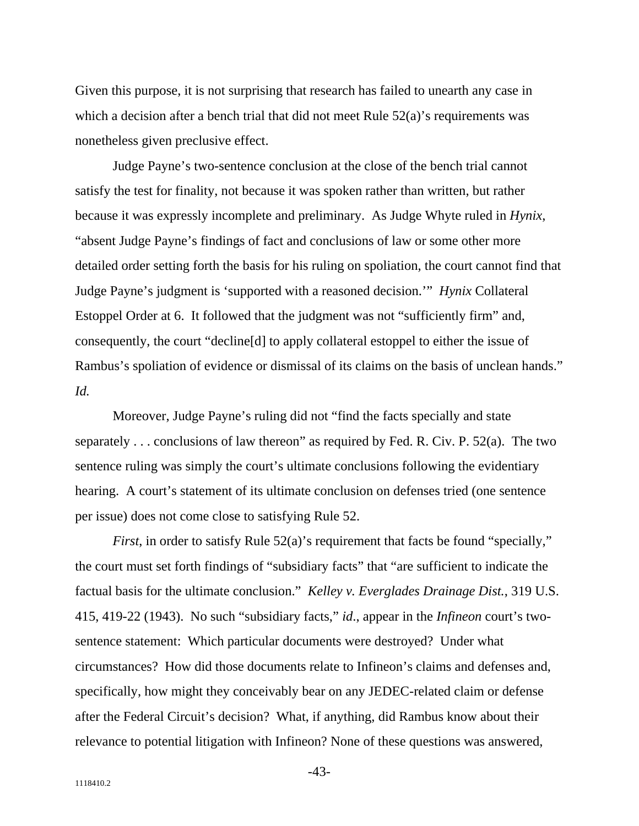Given this purpose, it is not surprising that research has failed to unearth any case in which a decision after a bench trial that did not meet Rule  $52(a)$ 's requirements was nonetheless given preclusive effect.

Judge Payne's two-sentence conclusion at the close of the bench trial cannot satisfy the test for finality, not because it was spoken rather than written, but rather because it was expressly incomplete and preliminary. As Judge Whyte ruled in *Hynix*, "absent Judge Payne's findings of fact and conclusions of law or some other more detailed order setting forth the basis for his ruling on spoliation, the court cannot find that Judge Payne's judgment is 'supported with a reasoned decision.'" *Hynix* Collateral Estoppel Order at 6. It followed that the judgment was not "sufficiently firm" and, consequently, the court "decline[d] to apply collateral estoppel to either the issue of Rambus's spoliation of evidence or dismissal of its claims on the basis of unclean hands." *Id.*

Moreover, Judge Payne's ruling did not "find the facts specially and state separately . . . conclusions of law thereon" as required by Fed. R. Civ. P. 52(a). The two sentence ruling was simply the court's ultimate conclusions following the evidentiary hearing. A court's statement of its ultimate conclusion on defenses tried (one sentence per issue) does not come close to satisfying Rule 52.

*First*, in order to satisfy Rule 52(a)'s requirement that facts be found "specially," the court must set forth findings of "subsidiary facts" that "are sufficient to indicate the factual basis for the ultimate conclusion." *Kelley v. Everglades Drainage Dist.*, 319 U.S. 415, 419-22 (1943). No such "subsidiary facts," *id*., appear in the *Infineon* court's twosentence statement: Which particular documents were destroyed? Under what circumstances? How did those documents relate to Infineon's claims and defenses and, specifically, how might they conceivably bear on any JEDEC-related claim or defense after the Federal Circuit's decision? What, if anything, did Rambus know about their relevance to potential litigation with Infineon? None of these questions was answered,

-43-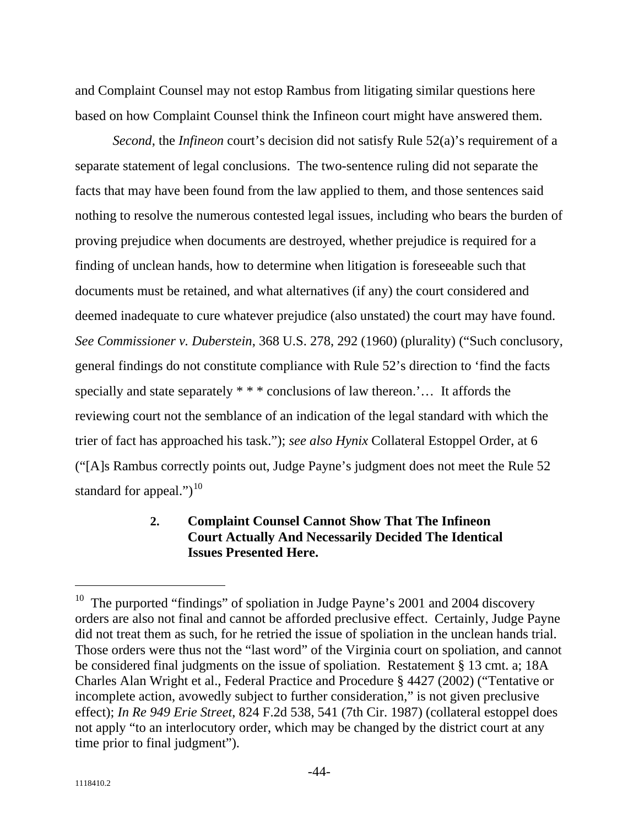and Complaint Counsel may not estop Rambus from litigating similar questions here based on how Complaint Counsel think the Infineon court might have answered them.

*Second*, the *Infineon* court's decision did not satisfy Rule 52(a)'s requirement of a separate statement of legal conclusions. The two-sentence ruling did not separate the facts that may have been found from the law applied to them, and those sentences said nothing to resolve the numerous contested legal issues, including who bears the burden of proving prejudice when documents are destroyed, whether prejudice is required for a finding of unclean hands, how to determine when litigation is foreseeable such that documents must be retained, and what alternatives (if any) the court considered and deemed inadequate to cure whatever prejudice (also unstated) the court may have found. *See Commissioner v. Duberstein*, 368 U.S. 278, 292 (1960) (plurality) ("Such conclusory, general findings do not constitute compliance with Rule 52's direction to 'find the facts specially and state separately \* \* \* conclusions of law thereon.'... It affords the reviewing court not the semblance of an indication of the legal standard with which the trier of fact has approached his task."); *see also Hynix* Collateral Estoppel Order, at 6 ("[A]s Rambus correctly points out, Judge Payne's judgment does not meet the Rule 52 standard for appeal." $)^{10}$  $)^{10}$  $)^{10}$ 

#### **2. Complaint Counsel Cannot Show That The Infineon Court Actually And Necessarily Decided The Identical Issues Presented Here.**

<span id="page-44-0"></span> $10$  The purported "findings" of spoliation in Judge Payne's 2001 and 2004 discovery orders are also not final and cannot be afforded preclusive effect. Certainly, Judge Payne did not treat them as such, for he retried the issue of spoliation in the unclean hands trial. Those orders were thus not the "last word" of the Virginia court on spoliation, and cannot be considered final judgments on the issue of spoliation. Restatement § 13 cmt. a; 18A Charles Alan Wright et al., Federal Practice and Procedure § 4427 (2002) ("Tentative or incomplete action, avowedly subject to further consideration," is not given preclusive effect); *In Re 949 Erie Street*, 824 F.2d 538, 541 (7th Cir. 1987) (collateral estoppel does not apply "to an interlocutory order, which may be changed by the district court at any time prior to final judgment").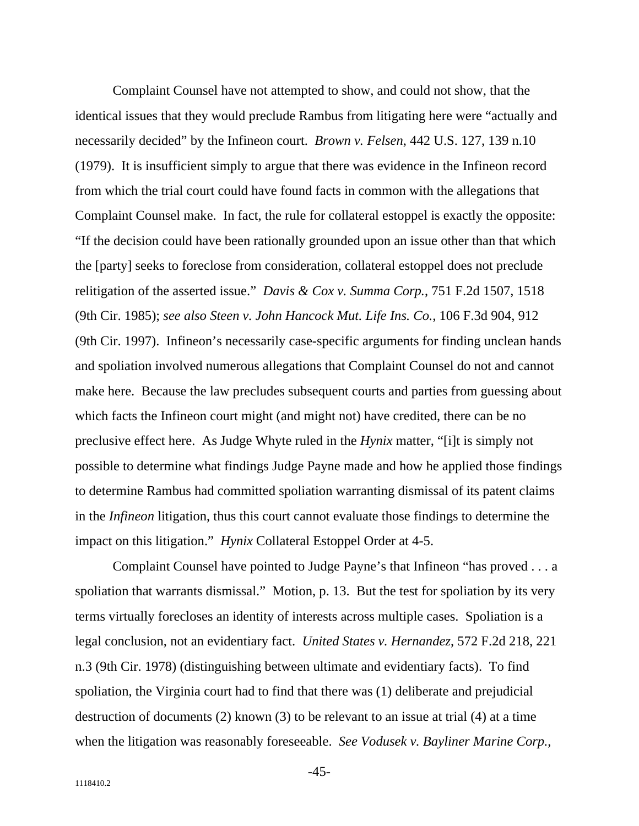Complaint Counsel have not attempted to show, and could not show, that the identical issues that they would preclude Rambus from litigating here were "actually and necessarily decided" by the Infineon court. *Brown v. Felsen*, 442 U.S. 127, 139 n.10 (1979). It is insufficient simply to argue that there was evidence in the Infineon record from which the trial court could have found facts in common with the allegations that Complaint Counsel make. In fact, the rule for collateral estoppel is exactly the opposite: "If the decision could have been rationally grounded upon an issue other than that which the [party] seeks to foreclose from consideration, collateral estoppel does not preclude relitigation of the asserted issue." *Davis & Cox v. Summa Corp.*, 751 F.2d 1507, 1518 (9th Cir. 1985); *see also Steen v. John Hancock Mut. Life Ins. Co.*, 106 F.3d 904, 912 (9th Cir. 1997). Infineon's necessarily case-specific arguments for finding unclean hands and spoliation involved numerous allegations that Complaint Counsel do not and cannot make here. Because the law precludes subsequent courts and parties from guessing about which facts the Infineon court might (and might not) have credited, there can be no preclusive effect here. As Judge Whyte ruled in the *Hynix* matter, "[i]t is simply not possible to determine what findings Judge Payne made and how he applied those findings to determine Rambus had committed spoliation warranting dismissal of its patent claims in the *Infineon* litigation, thus this court cannot evaluate those findings to determine the impact on this litigation." *Hynix* Collateral Estoppel Order at 4-5.

Complaint Counsel have pointed to Judge Payne's that Infineon "has proved . . . a spoliation that warrants dismissal." Motion, p. 13. But the test for spoliation by its very terms virtually forecloses an identity of interests across multiple cases. Spoliation is a legal conclusion, not an evidentiary fact. *United States v. Hernandez*, 572 F.2d 218, 221 n.3 (9th Cir. 1978) (distinguishing between ultimate and evidentiary facts). To find spoliation, the Virginia court had to find that there was (1) deliberate and prejudicial destruction of documents (2) known (3) to be relevant to an issue at trial (4) at a time when the litigation was reasonably foreseeable. *See Vodusek v. Bayliner Marine Corp.*,

-45-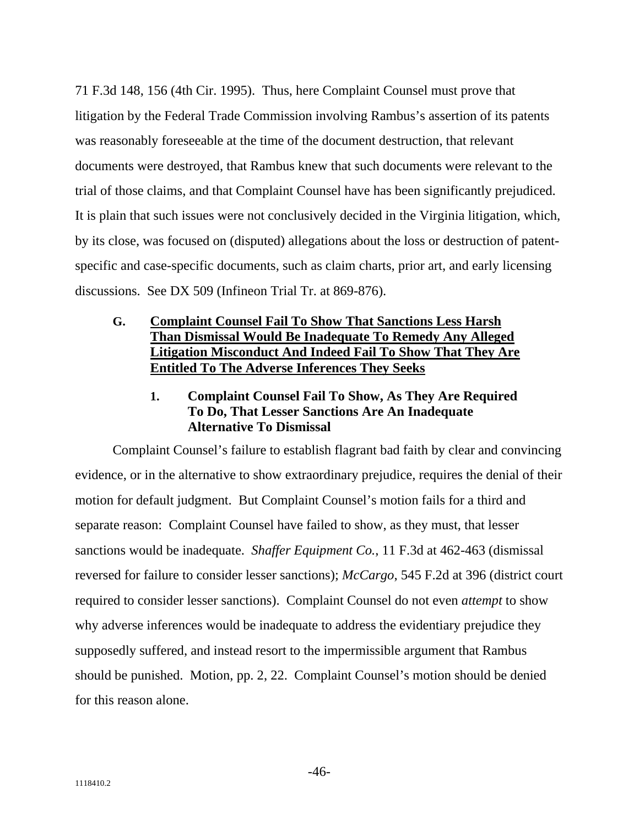71 F.3d 148, 156 (4th Cir. 1995). Thus, here Complaint Counsel must prove that litigation by the Federal Trade Commission involving Rambus's assertion of its patents was reasonably foreseeable at the time of the document destruction, that relevant documents were destroyed, that Rambus knew that such documents were relevant to the trial of those claims, and that Complaint Counsel have has been significantly prejudiced. It is plain that such issues were not conclusively decided in the Virginia litigation, which, by its close, was focused on (disputed) allegations about the loss or destruction of patentspecific and case-specific documents, such as claim charts, prior art, and early licensing discussions. See DX 509 (Infineon Trial Tr. at 869-876).

### **Complaint Counsel Fail To Show That Sanctions Less Harsh Than Dismissal Would Be Inadequate To Remedy Any Alleged Litigation Misconduct And Indeed Fail To Show That They Are Entitled To The Adverse Inferences They Seeks G.**

#### **Complaint Counsel Fail To Show, As They Are Required To Do, That Lesser Sanctions Are An Inadequate Alternative To Dismissal 1.**

Complaint Counsel's failure to establish flagrant bad faith by clear and convincing evidence, or in the alternative to show extraordinary prejudice, requires the denial of their motion for default judgment. But Complaint Counsel's motion fails for a third and separate reason: Complaint Counsel have failed to show, as they must, that lesser sanctions would be inadequate. *Shaffer Equipment Co.*, 11 F.3d at 462-463 (dismissal reversed for failure to consider lesser sanctions); *McCargo*, 545 F.2d at 396 (district court required to consider lesser sanctions). Complaint Counsel do not even *attempt* to show why adverse inferences would be inadequate to address the evidentiary prejudice they supposedly suffered, and instead resort to the impermissible argument that Rambus should be punished. Motion, pp. 2, 22. Complaint Counsel's motion should be denied for this reason alone.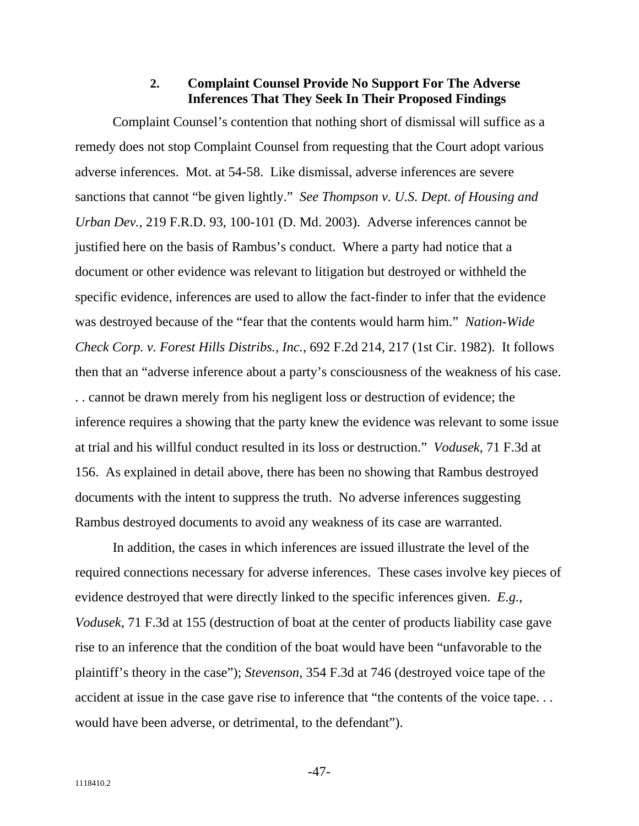#### **Complaint Counsel Provide No Support For The Adverse Inferences That They Seek In Their Proposed Findings 2.**

Complaint Counsel's contention that nothing short of dismissal will suffice as a remedy does not stop Complaint Counsel from requesting that the Court adopt various adverse inferences. Mot. at 54-58. Like dismissal, adverse inferences are severe sanctions that cannot "be given lightly." *See Thompson v. U.S. Dept. of Housing and Urban Dev.*, 219 F.R.D. 93, 100-101 (D. Md. 2003). Adverse inferences cannot be justified here on the basis of Rambus's conduct. Where a party had notice that a document or other evidence was relevant to litigation but destroyed or withheld the specific evidence, inferences are used to allow the fact-finder to infer that the evidence was destroyed because of the "fear that the contents would harm him." *Nation-Wide Check Corp. v. Forest Hills Distribs., Inc.*, 692 F.2d 214, 217 (1st Cir. 1982). It follows then that an "adverse inference about a party's consciousness of the weakness of his case. . . cannot be drawn merely from his negligent loss or destruction of evidence; the inference requires a showing that the party knew the evidence was relevant to some issue at trial and his willful conduct resulted in its loss or destruction." *Vodusek*, 71 F.3d at 156. As explained in detail above, there has been no showing that Rambus destroyed documents with the intent to suppress the truth. No adverse inferences suggesting Rambus destroyed documents to avoid any weakness of its case are warranted.

In addition, the cases in which inferences are issued illustrate the level of the required connections necessary for adverse inferences. These cases involve key pieces of evidence destroyed that were directly linked to the specific inferences given. *E.g.*, *Vodusek*, 71 F.3d at 155 (destruction of boat at the center of products liability case gave rise to an inference that the condition of the boat would have been "unfavorable to the plaintiff's theory in the case"); *Stevenson*, 354 F.3d at 746 (destroyed voice tape of the accident at issue in the case gave rise to inference that "the contents of the voice tape. . . would have been adverse, or detrimental, to the defendant").

-47-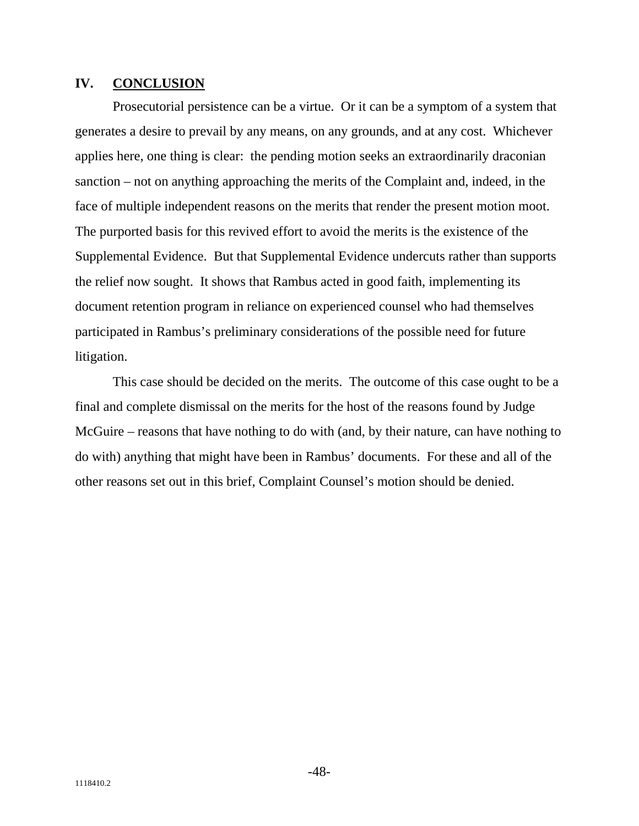### **IV. CONCLUSION**

Prosecutorial persistence can be a virtue. Or it can be a symptom of a system that generates a desire to prevail by any means, on any grounds, and at any cost. Whichever applies here, one thing is clear: the pending motion seeks an extraordinarily draconian sanction – not on anything approaching the merits of the Complaint and, indeed, in the face of multiple independent reasons on the merits that render the present motion moot. The purported basis for this revived effort to avoid the merits is the existence of the Supplemental Evidence. But that Supplemental Evidence undercuts rather than supports the relief now sought. It shows that Rambus acted in good faith, implementing its document retention program in reliance on experienced counsel who had themselves participated in Rambus's preliminary considerations of the possible need for future litigation.

This case should be decided on the merits. The outcome of this case ought to be a final and complete dismissal on the merits for the host of the reasons found by Judge McGuire – reasons that have nothing to do with (and, by their nature, can have nothing to do with) anything that might have been in Rambus' documents. For these and all of the other reasons set out in this brief, Complaint Counsel's motion should be denied.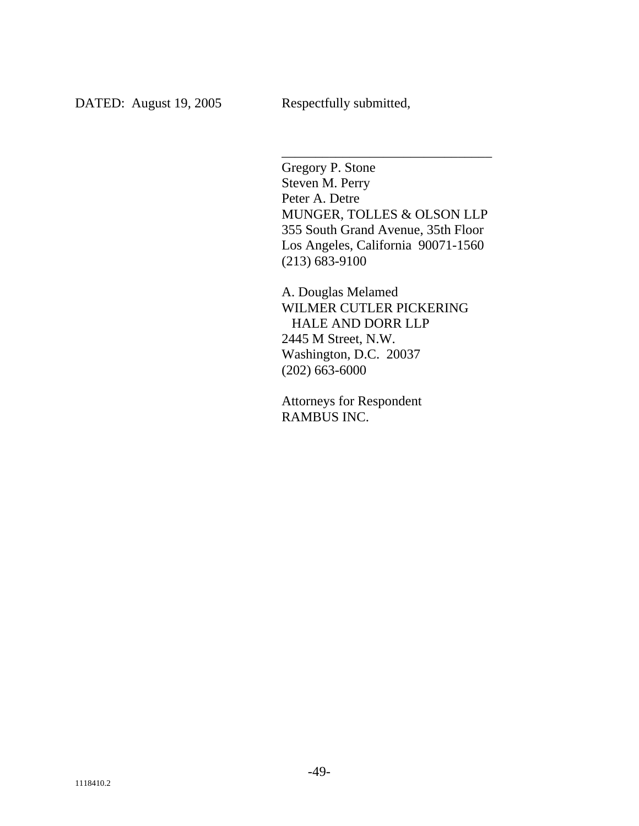Gregory P. Stone Steven M. Perry Peter A. Detre MUNGER, TOLLES & OLSON LLP 355 South Grand Avenue, 35th Floor Los Angeles, California 90071-1560 (213) 683-9100

\_\_\_\_\_\_\_\_\_\_\_\_\_\_\_\_\_\_\_\_\_\_\_\_\_\_\_\_\_\_\_

A. Douglas Melamed WILMER CUTLER PICKERING HALE AND DORR LLP 2445 M Street, N.W. Washington, D.C. 20037 (202) 663-6000

Attorneys for Respondent RAMBUS INC.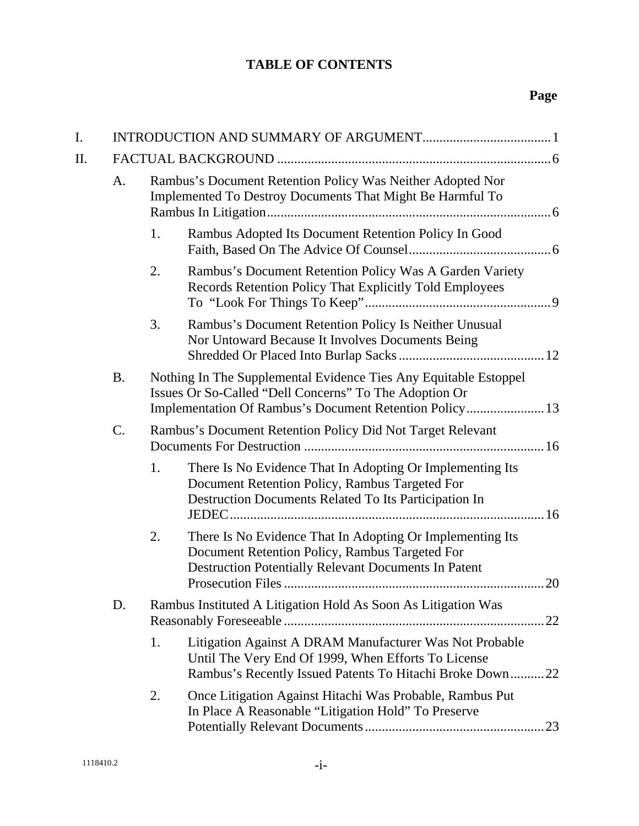## **TABLE OF CONTENTS**

# **Page**

| I.  |           |                                                                                                                         |                                                                                                                                                                                       |  |  |
|-----|-----------|-------------------------------------------------------------------------------------------------------------------------|---------------------------------------------------------------------------------------------------------------------------------------------------------------------------------------|--|--|
| II. |           |                                                                                                                         |                                                                                                                                                                                       |  |  |
|     | A.        | Rambus's Document Retention Policy Was Neither Adopted Nor<br>Implemented To Destroy Documents That Might Be Harmful To |                                                                                                                                                                                       |  |  |
|     |           | 1.                                                                                                                      | Rambus Adopted Its Document Retention Policy In Good                                                                                                                                  |  |  |
|     |           | 2.                                                                                                                      | Rambus's Document Retention Policy Was A Garden Variety<br>Records Retention Policy That Explicitly Told Employees                                                                    |  |  |
|     |           | 3.                                                                                                                      | Rambus's Document Retention Policy Is Neither Unusual<br>Nor Untoward Because It Involves Documents Being                                                                             |  |  |
|     | <b>B.</b> |                                                                                                                         | Nothing In The Supplemental Evidence Ties Any Equitable Estoppel<br>Issues Or So-Called "Dell Concerns" To The Adoption Or<br>Implementation Of Rambus's Document Retention Policy 13 |  |  |
|     | C.        |                                                                                                                         | Rambus's Document Retention Policy Did Not Target Relevant                                                                                                                            |  |  |
|     |           | 1.                                                                                                                      | There Is No Evidence That In Adopting Or Implementing Its<br>Document Retention Policy, Rambus Targeted For<br>Destruction Documents Related To Its Participation In                  |  |  |
|     |           | 2.                                                                                                                      | There Is No Evidence That In Adopting Or Implementing Its<br>Document Retention Policy, Rambus Targeted For<br><b>Destruction Potentially Relevant Documents In Patent</b><br>.20     |  |  |
|     | D.        | Rambus Instituted A Litigation Hold As Soon As Litigation Was<br>.22                                                    |                                                                                                                                                                                       |  |  |
|     |           | 1.                                                                                                                      | Litigation Against A DRAM Manufacturer Was Not Probable<br>Until The Very End Of 1999, When Efforts To License<br>Rambus's Recently Issued Patents To Hitachi Broke Down22            |  |  |
|     |           | 2.                                                                                                                      | Once Litigation Against Hitachi Was Probable, Rambus Put<br>In Place A Reasonable "Litigation Hold" To Preserve                                                                       |  |  |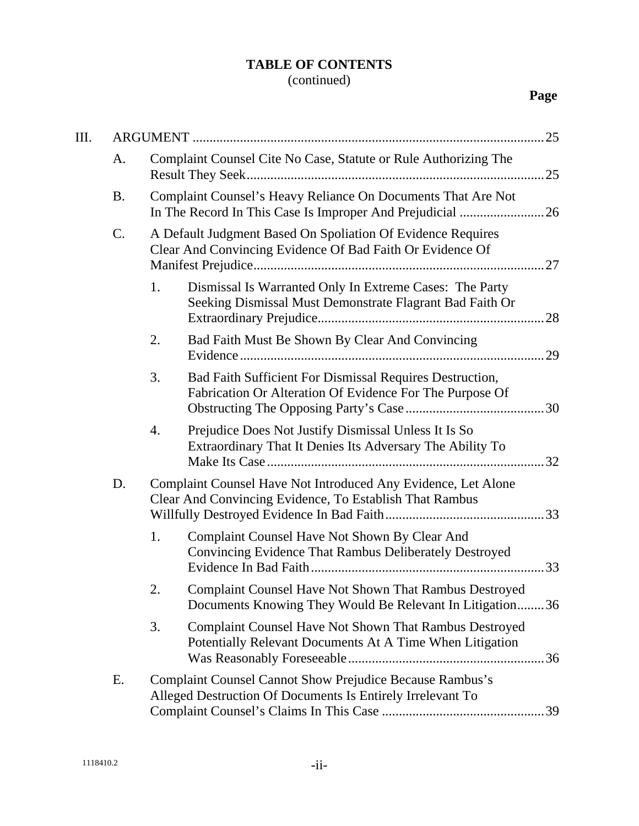# **TABLE OF CONTENTS**

| III. |           |                                                                                                                                 |  |
|------|-----------|---------------------------------------------------------------------------------------------------------------------------------|--|
|      | A.        | Complaint Counsel Cite No Case, Statute or Rule Authorizing The                                                                 |  |
|      | <b>B.</b> | Complaint Counsel's Heavy Reliance On Documents That Are Not<br>In The Record In This Case Is Improper And Prejudicial 26       |  |
|      | C.        | A Default Judgment Based On Spoliation Of Evidence Requires<br>Clear And Convincing Evidence Of Bad Faith Or Evidence Of        |  |
|      |           | Dismissal Is Warranted Only In Extreme Cases: The Party<br>1.<br>Seeking Dismissal Must Demonstrate Flagrant Bad Faith Or       |  |
|      |           | Bad Faith Must Be Shown By Clear And Convincing<br>2.                                                                           |  |
|      |           | Bad Faith Sufficient For Dismissal Requires Destruction,<br>3.<br>Fabrication Or Alteration Of Evidence For The Purpose Of      |  |
|      |           | Prejudice Does Not Justify Dismissal Unless It Is So<br>4.<br>Extraordinary That It Denies Its Adversary The Ability To         |  |
|      | D.        | Complaint Counsel Have Not Introduced Any Evidence, Let Alone<br>Clear And Convincing Evidence, To Establish That Rambus        |  |
|      |           | 1.<br>Complaint Counsel Have Not Shown By Clear And<br>Convincing Evidence That Rambus Deliberately Destroyed                   |  |
|      |           | Complaint Counsel Have Not Shown That Rambus Destroyed<br>2.<br>Documents Knowing They Would Be Relevant In Litigation36        |  |
|      |           | <b>Complaint Counsel Have Not Shown That Rambus Destroyed</b><br>3.<br>Potentially Relevant Documents At A Time When Litigation |  |
|      | Е.        | <b>Complaint Counsel Cannot Show Prejudice Because Rambus's</b><br>Alleged Destruction Of Documents Is Entirely Irrelevant To   |  |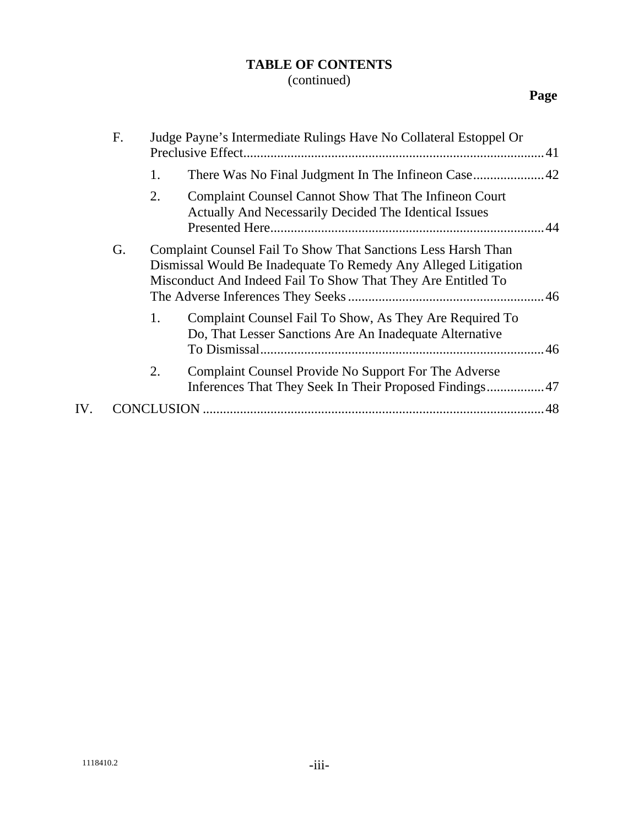## **TABLE OF CONTENTS**

## (continued)

# **Page**

|     | F. |    | Judge Payne's Intermediate Rulings Have No Collateral Estoppel Or                                                                                                                               |  |
|-----|----|----|-------------------------------------------------------------------------------------------------------------------------------------------------------------------------------------------------|--|
|     |    | 1. |                                                                                                                                                                                                 |  |
|     |    | 2. | <b>Complaint Counsel Cannot Show That The Infineon Court</b><br>Actually And Necessarily Decided The Identical Issues                                                                           |  |
|     | G. |    | Complaint Counsel Fail To Show That Sanctions Less Harsh Than<br>Dismissal Would Be Inadequate To Remedy Any Alleged Litigation<br>Misconduct And Indeed Fail To Show That They Are Entitled To |  |
|     |    | 1. | Complaint Counsel Fail To Show, As They Are Required To<br>Do, That Lesser Sanctions Are An Inadequate Alternative                                                                              |  |
|     |    | 2. | Complaint Counsel Provide No Support For The Adverse                                                                                                                                            |  |
| IV. |    |    |                                                                                                                                                                                                 |  |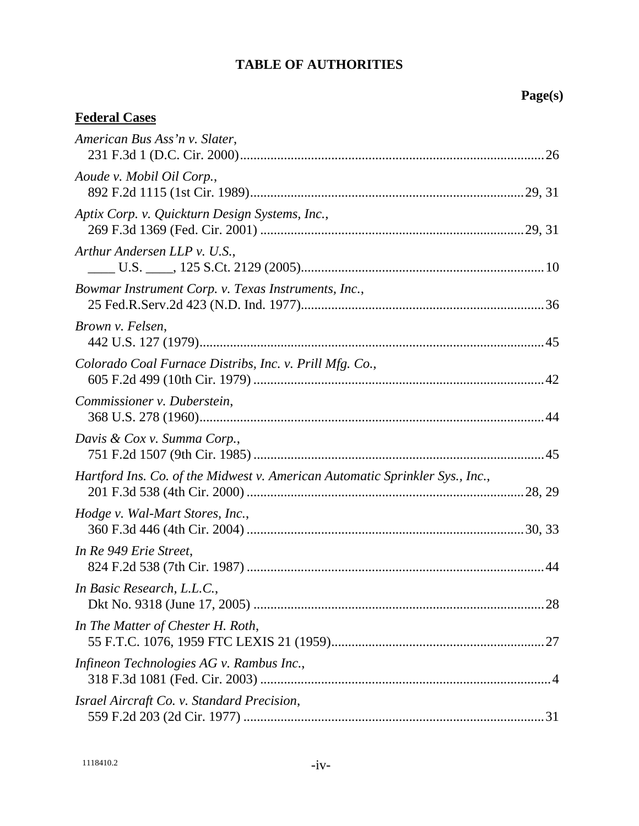# **Page(s)**

| American Bus Ass'n v. Slater,                                                |
|------------------------------------------------------------------------------|
| Aoude v. Mobil Oil Corp.,                                                    |
| Aptix Corp. v. Quickturn Design Systems, Inc.,                               |
| Arthur Andersen LLP v. U.S.,                                                 |
| Bowmar Instrument Corp. v. Texas Instruments, Inc.,                          |
| Brown v. Felsen,                                                             |
| Colorado Coal Furnace Distribs, Inc. v. Prill Mfg. Co.,                      |
| Commissioner v. Duberstein,                                                  |
| Davis & Cox v. Summa Corp.,                                                  |
| Hartford Ins. Co. of the Midwest v. American Automatic Sprinkler Sys., Inc., |
| Hodge v. Wal-Mart Stores, Inc.,                                              |
| In Re 949 Erie Street,                                                       |
| In Basic Research, L.L.C.,                                                   |
| In The Matter of Chester H. Roth,                                            |
| Infineon Technologies AG v. Rambus Inc.,                                     |
| Israel Aircraft Co. v. Standard Precision,                                   |

**Federal Cases**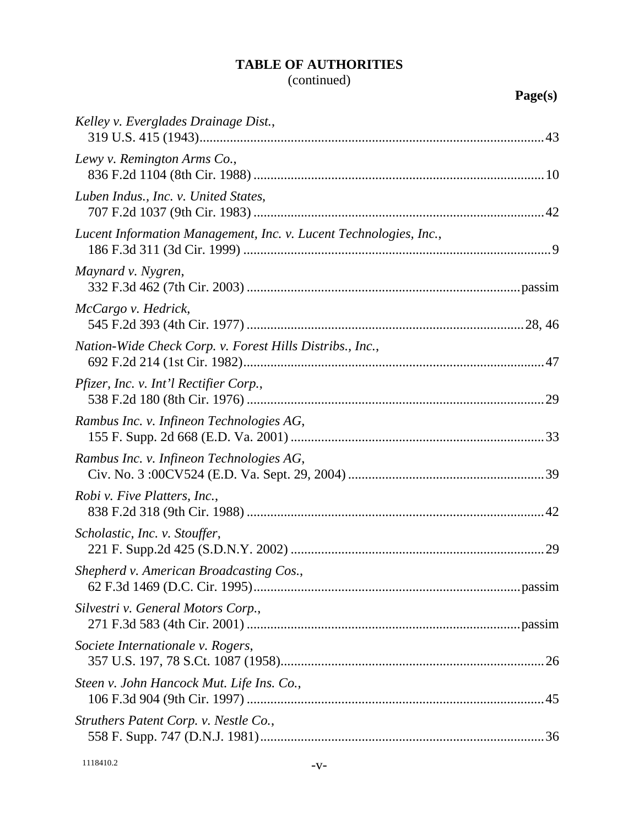| Kelley v. Everglades Drainage Dist.,                              |
|-------------------------------------------------------------------|
| Lewy v. Remington Arms Co.,                                       |
| Luben Indus., Inc. v. United States,                              |
| Lucent Information Management, Inc. v. Lucent Technologies, Inc., |
| Maynard v. Nygren,                                                |
| McCargo v. Hedrick,                                               |
| Nation-Wide Check Corp. v. Forest Hills Distribs., Inc.,          |
| Pfizer, Inc. v. Int'l Rectifier Corp.,                            |
| Rambus Inc. v. Infineon Technologies AG,                          |
| Rambus Inc. v. Infineon Technologies AG,                          |
| <i>Robi v. Five Platters, Inc.,</i>                               |
| Scholastic, Inc. v. Stouffer,<br>.29                              |
| Shepherd v. American Broadcasting Cos.,                           |
| Silvestri v. General Motors Corp.,                                |
| Societe Internationale v. Rogers,                                 |
| Steen v. John Hancock Mut. Life Ins. Co.,                         |
| Struthers Patent Corp. v. Nestle Co.,                             |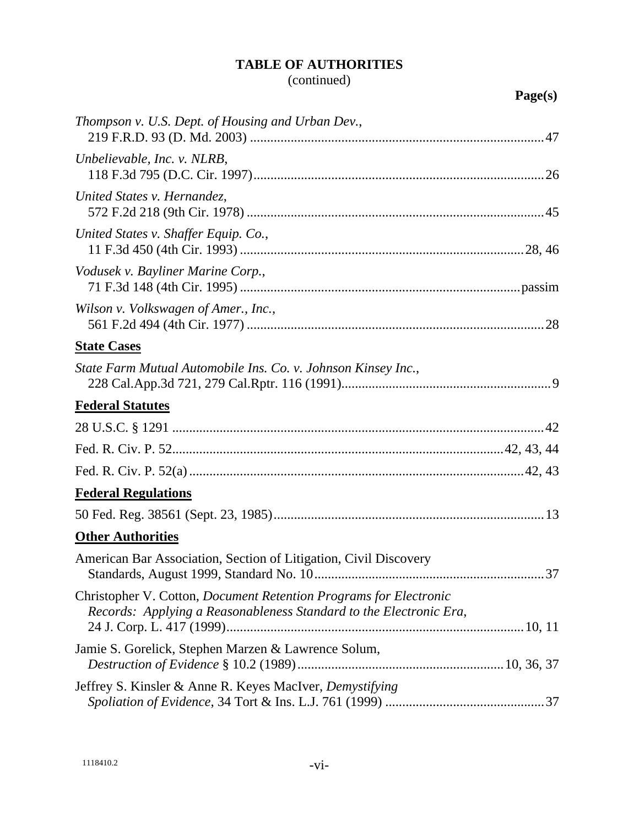| Thompson v. U.S. Dept. of Housing and Urban Dev.,                                                                                              |    |
|------------------------------------------------------------------------------------------------------------------------------------------------|----|
| Unbelievable, Inc. v. NLRB,                                                                                                                    |    |
| United States v. Hernandez,                                                                                                                    |    |
| United States v. Shaffer Equip. Co.,                                                                                                           |    |
| Vodusek v. Bayliner Marine Corp.,                                                                                                              |    |
| Wilson v. Volkswagen of Amer., Inc.,                                                                                                           |    |
| <b>State Cases</b>                                                                                                                             |    |
| State Farm Mutual Automobile Ins. Co. v. Johnson Kinsey Inc.,                                                                                  |    |
| <b>Federal Statutes</b>                                                                                                                        |    |
|                                                                                                                                                |    |
|                                                                                                                                                |    |
|                                                                                                                                                |    |
| <b>Federal Regulations</b>                                                                                                                     |    |
|                                                                                                                                                |    |
| <b>Other Authorities</b>                                                                                                                       |    |
| American Bar Association, Section of Litigation, Civil Discovery                                                                               | 37 |
| Christopher V. Cotton, <i>Document Retention Programs for Electronic</i><br>Records: Applying a Reasonableness Standard to the Electronic Era, |    |
| Jamie S. Gorelick, Stephen Marzen & Lawrence Solum,                                                                                            |    |
| Jeffrey S. Kinsler & Anne R. Keyes MacIver, Demystifying                                                                                       |    |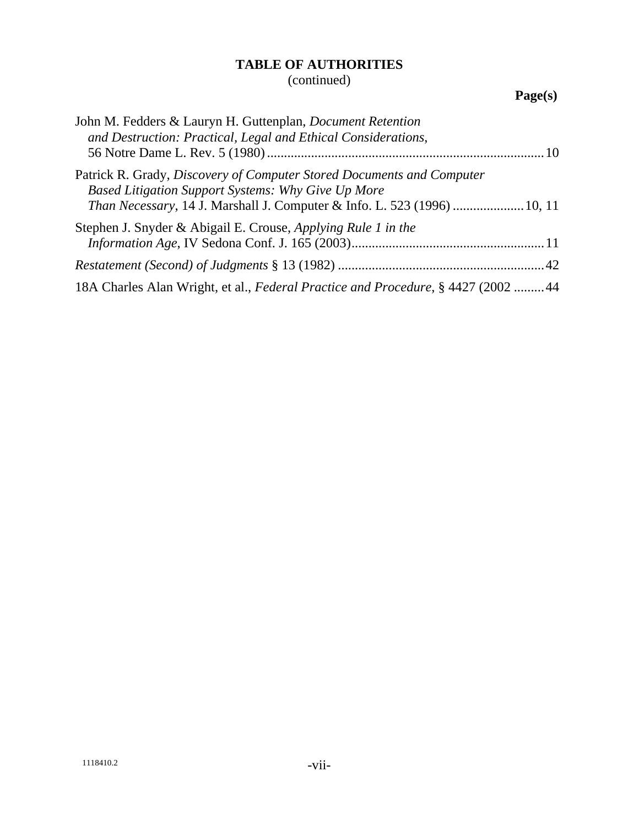| John M. Fedders & Lauryn H. Guttenplan, <i>Document Retention</i><br>and Destruction: Practical, Legal and Ethical Considerations,                                                                              |  |
|-----------------------------------------------------------------------------------------------------------------------------------------------------------------------------------------------------------------|--|
| Patrick R. Grady, Discovery of Computer Stored Documents and Computer<br>Based Litigation Support Systems: Why Give Up More<br><i>Than Necessary</i> , 14 J. Marshall J. Computer & Info. L. 523 (1996)  10, 11 |  |
| Stephen J. Snyder & Abigail E. Crouse, Applying Rule 1 in the                                                                                                                                                   |  |
|                                                                                                                                                                                                                 |  |
|                                                                                                                                                                                                                 |  |
| 18A Charles Alan Wright, et al., Federal Practice and Procedure, §4427 (2002 44                                                                                                                                 |  |